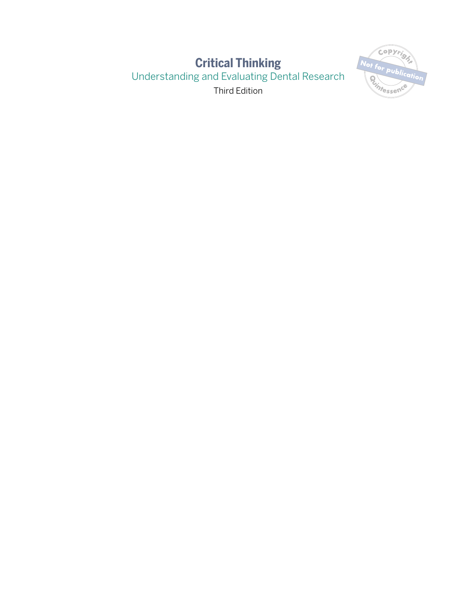### **Critical Thinking** Understanding and Evaluating Dental Research Third Edition

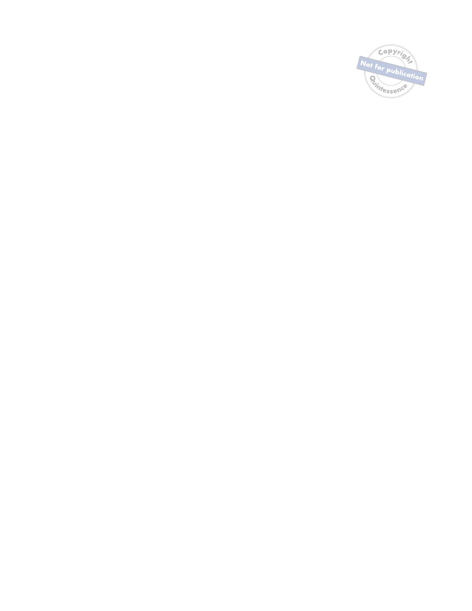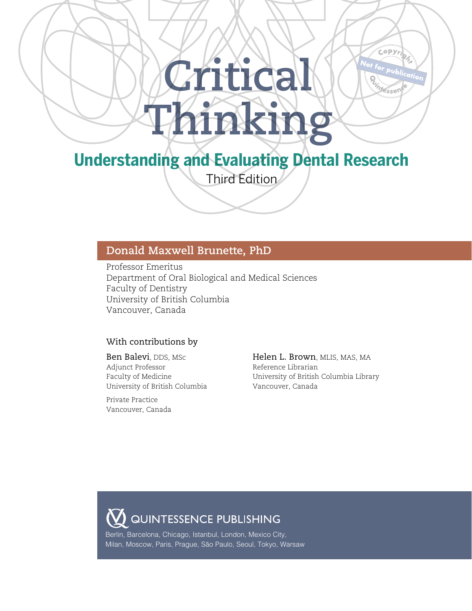### **Understanding and Evaluating Dental Research**

**Thinking**

**Critical** 

Third Edition

### **Donald Maxwell Brunette, PhD**

Professor Emeritus Department of Oral Biological and Medical Sciences Faculty of Dentistry University of British Columbia Vancouver, Canada

### With contributions by

Ben Balevi, DDS, MSc Adjunct Professor Faculty of Medicine University of British Columbia

Private Practice Vancouver, Canada Helen L. Brown, MLIS, MAS, MA Reference Librarian University of British Columbia Library Vancouver, Canada

**COPY** 

Printessen

for publicatio

QUINTESSENCE PUBLISHING

Berlin, Barcelona, Chicago, Istanbul, London, Mexico City, Milan, Moscow, Paris, Prague, São Paulo, Seoul, Tokyo, Warsaw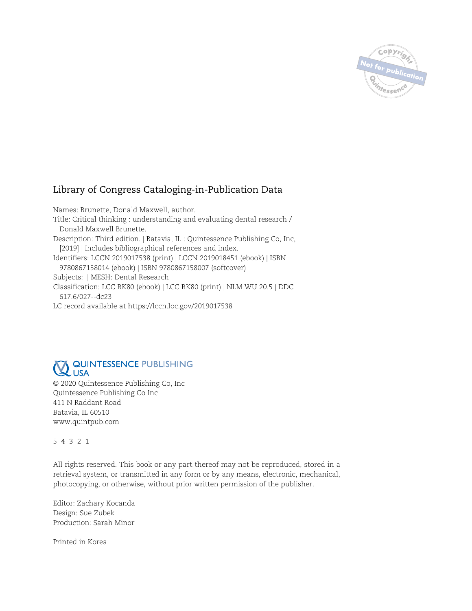

### Library of Congress Cataloging-in-Publication Data

Names: Brunette, Donald Maxwell, author. Title: Critical thinking : understanding and evaluating dental research / Donald Maxwell Brunette. Description: Third edition. | Batavia, IL : Quintessence Publishing Co, Inc, [2019] | Includes bibliographical references and index. Identifiers: LCCN 2019017538 (print) | LCCN 2019018451 (ebook) | ISBN 9780867158014 (ebook) | ISBN 9780867158007 (softcover) Subjects: | MESH: Dental Research Classification: LCC RK80 (ebook) | LCC RK80 (print) | NLM WU 20.5 | DDC 617.6/027--dc23 LC record available at https://lccn.loc.gov/2019017538

### **QUINTESSENCE PUBLISHING USA**

© 2020 Quintessence Publishing Co, Inc Quintessence Publishing Co Inc 411 N Raddant Road Batavia, IL 60510 www.quintpub.com

5 4 3 2 1

All rights reserved. This book or any part thereof may not be reproduced, stored in a retrieval system, or transmitted in any form or by any means, electronic, mechanical, photocopying, or otherwise, without prior written permission of the publisher.

Editor: Zachary Kocanda Design: Sue Zubek Production: Sarah Minor

Printed in Korea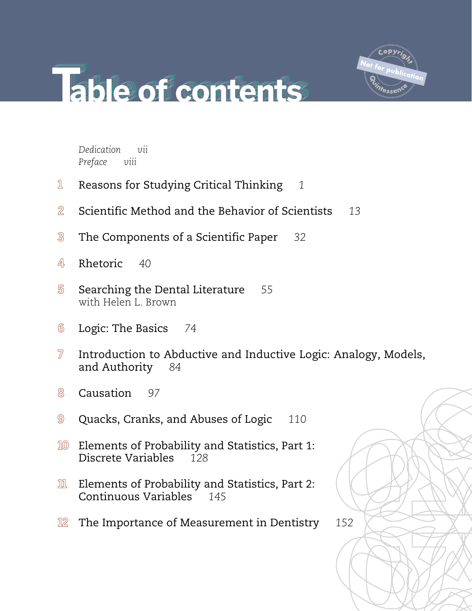



*Dedication vii Preface viii*

- Reasons for Studying Critical Thinking *1*
- Scientific Method and the Behavior of Scientists *13*
- The Components of a Scientific Paper *32*
- Rhetoric *40*
- Searching the Dental Literature *55* with Helen L. Brown
- Logic: The Basics *74*
- Introduction to Abductive and Inductive Logic: Analogy, Models, and Authority *84*
- Causation *97*
- Quacks, Cranks, and Abuses of Logic *110*
- Elements of Probability and Statistics, Part 1: Discrete Variables *128*
- Elements of Probability and Statistics, Part 2: Continuous Variables *145*
- The Importance of Measurement in Dentistry *152*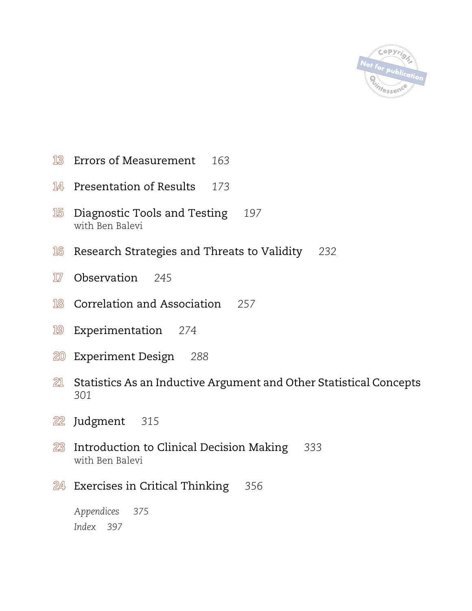

- Errors of Measurement *163*
- Presentation of Results *173*
- Diagnostic Tools and Testing *197* with Ben Balevi
- Research Strategies and Threats to Validity *232*
- Observation *245*
- Correlation and Association *257*
- Experimentation *274*
- Experiment Design *288*
- Statistics As an Inductive Argument and Other Statistical Concepts
- Judgment *315*
- Introduction to Clinical Decision Making *333* with Ben Balevi
- Exercises in Critical Thinking *356*

*Appendices 375 Index 397*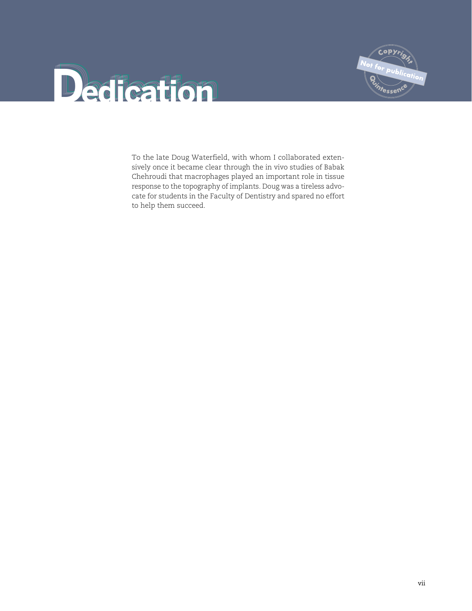

# **Dedication DDDDedication edication edication edication**

To the late Doug Waterfield, with whom I collaborated extensively once it became clear through the in vivo studies of Babak Chehroudi that macrophages played an important role in tissue response to the topography of implants. Doug was a tireless advocate for students in the Faculty of Dentistry and spared no effort to help them succeed.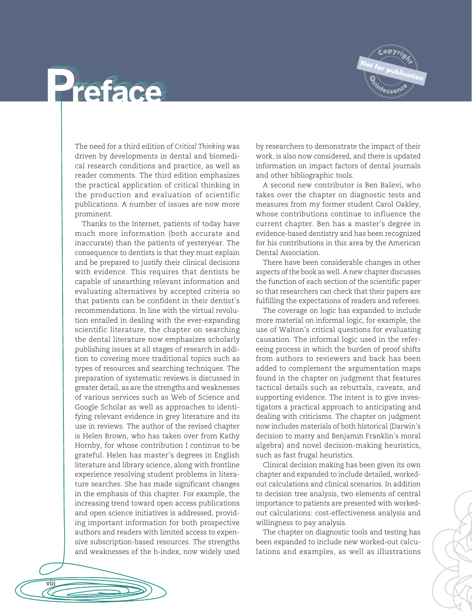

## **reface PPPPreface reface reface reface**

The need for a third edition of *Critical Thinking* was driven by developments in dental and biomedical research conditions and practice, as well as reader comments. The third edition emphasizes the practical application of critical thinking in the production and evaluation of scientific publications. A number of issues are now more prominent.

Thanks to the Internet, patients of today have much more information (both accurate and inaccurate) than the patients of yesteryear. The consequence to dentists is that they must explain and be prepared to justify their clinical decisions with evidence. This requires that dentists be capable of unearthing relevant information and evaluating alternatives by accepted criteria so that patients can be confident in their dentist's recommendations. In line with the virtual revolution entailed in dealing with the ever-expanding scientific literature, the chapter on searching the dental literature now emphasizes scholarly publishing issues at all stages of research in addition to covering more traditional topics such as types of resources and searching techniques. The preparation of systematic reviews is discussed in greater detail, as are the strengths and weaknesses of various services such as Web of Science and Google Scholar as well as approaches to identifying relevant evidence in grey literature and its use in reviews. The author of the revised chapter is Helen Brown, who has taken over from Kathy Hornby, for whose contribution I continue to be grateful. Helen has master's degrees in English literature and library science, along with frontline experience resolving student problems in literature searches. She has made significant changes in the emphasis of this chapter. For example, the increasing trend toward open access publications and open science initiatives is addressed, providing important information for both prospective authors and readers with limited access to expensive subscription-based resources. The strengths and weaknesses of the h-index, now widely used

viii

by researchers to demonstrate the impact of their work, is also now considered, and there is updated information on impact factors of dental journals and other bibliographic tools.

A second new contributor is Ben Balevi, who takes over the chapter on diagnostic tests and measures from my former student Carol Oakley, whose contributions continue to influence the current chapter. Ben has a master's degree in evidence-based dentistry and has been recognized for his contributions in this area by the American Dental Association.

There have been considerable changes in other aspects of the book as well. A new chapter discusses the function of each section of the scientific paper so that researchers can check that their papers are fulfilling the expectations of readers and referees.

The coverage on logic has expanded to include more material on informal logic, for example, the use of Walton's critical questions for evaluating causation. The informal logic used in the refereeing process in which the burden of proof shifts from authors to reviewers and back has been added to complement the argumentation maps found in the chapter on judgment that features tactical details such as rebuttals, caveats, and supporting evidence. The intent is to give investigators a practical approach to anticipating and dealing with criticisms. The chapter on judgment now includes materials of both historical (Darwin's decision to marry and Benjamin Franklin's moral algebra) and novel decision-making heuristics, such as fast frugal heuristics.

Clinical decision making has been given its own chapter and expanded to include detailed, workedout calculations and clinical scenarios. In addition to decision tree analysis, two elements of central importance to patients are presented with workedout calculations: cost-effectiveness analysis and willingness to pay analysis.

The chapter on diagnostic tools and testing has been expanded to include new worked-out calculations and examples, as well as illustrations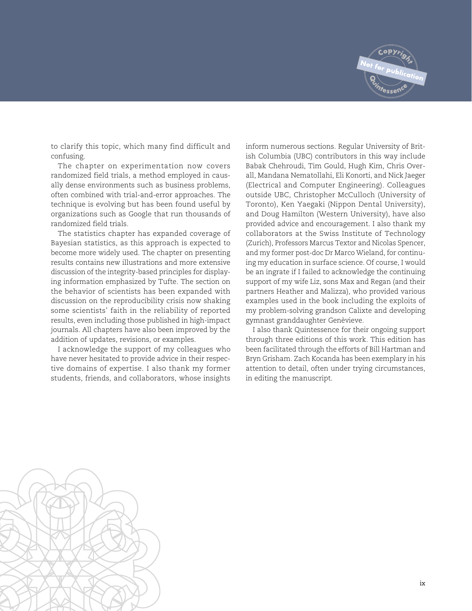

to clarify this topic, which many find difficult and confusing.

The chapter on experimentation now covers randomized field trials, a method employed in causally dense environments such as business problems, often combined with trial-and-error approaches. The technique is evolving but has been found useful by organizations such as Google that run thousands of randomized field trials.

The statistics chapter has expanded coverage of Bayesian statistics, as this approach is expected to become more widely used. The chapter on presenting results contains new illustrations and more extensive discussion of the integrity-based principles for displaying information emphasized by Tufte. The section on the behavior of scientists has been expanded with discussion on the reproducibility crisis now shaking some scientists' faith in the reliability of reported results, even including those published in high-impact journals. All chapters have also been improved by the addition of updates, revisions, or examples.

I acknowledge the support of my colleagues who have never hesitated to provide advice in their respective domains of expertise. I also thank my former students, friends, and collaborators, whose insights inform numerous sections. Regular University of British Columbia (UBC) contributors in this way include Babak Chehroudi, Tim Gould, Hugh Kim, Chris Overall, Mandana Nematollahi, Eli Konorti, and Nick Jaeger (Electrical and Computer Engineering). Colleagues outside UBC, Christopher McCulloch (University of Toronto), Ken Yaegaki (Nippon Dental University), and Doug Hamilton (Western University), have also provided advice and encouragement. I also thank my collaborators at the Swiss Institute of Technology (Zurich), Professors Marcus Textor and Nicolas Spencer, and my former post-doc Dr Marco Wieland, for continuing my education in surface science. Of course, I would be an ingrate if I failed to acknowledge the continuing support of my wife Liz, sons Max and Regan (and their partners Heather and Malizza), who provided various examples used in the book including the exploits of my problem-solving grandson Calixte and developing gymnast granddaughter Genèvieve.

I also thank Quintessence for their ongoing support through three editions of this work. This edition has been facilitated through the efforts of Bill Hartman and Bryn Grisham. Zach Kocanda has been exemplary in his attention to detail, often under trying circumstances, in editing the manuscript.

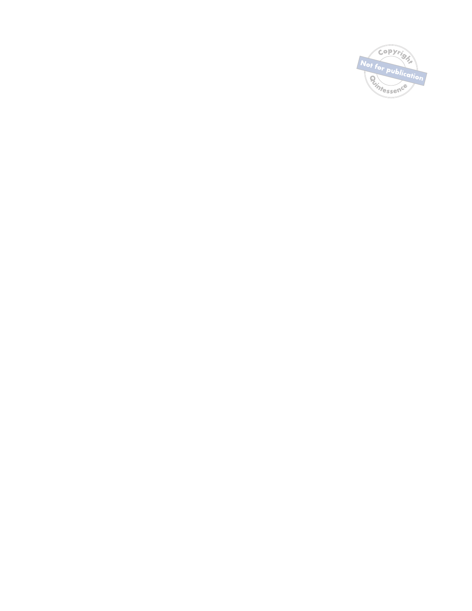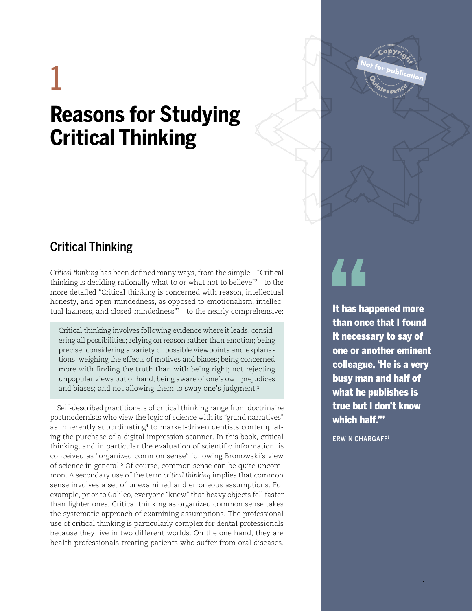## 1 **Reasons for Studying Critical Thinking**

### Critical Thinking

*Critical thinking* has been defined many ways, from the simple—"Critical thinking is deciding rationally what to or what not to believe"<sup>2</sup> —to the more detailed "Critical thinking is concerned with reason, intellectual honesty, and open-mindedness, as opposed to emotionalism, intellectual laziness, and closed-mindedness"<sup>3</sup> —to the nearly comprehensive:

Critical thinking involves following evidence where it leads; considering all possibilities; relying on reason rather than emotion; being precise; considering a variety of possible viewpoints and explanations; weighing the effects of motives and biases; being concerned more with finding the truth than with being right; not rejecting unpopular views out of hand; being aware of one's own prejudices and biases; and not allowing them to sway one's judgment.<sup>3</sup>

Self-described practitioners of critical thinking range from doctrinaire postmodernists who view the logic of science with its "grand narratives" as inherently subordinating<sup>4</sup> to market-driven dentists contemplating the purchase of a digital impression scanner. In this book, critical thinking, and in particular the evaluation of scientific information, is conceived as "organized common sense" following Bronowski's view of science in general.<sup>5</sup> Of course, common sense can be quite uncommon. A secondary use of the term *critical thinking* implies that common sense involves a set of unexamined and erroneous assumptions. For example, prior to Galileo, everyone "knew" that heavy objects fell faster than lighter ones. Critical thinking as organized common sense takes the systematic approach of examining assumptions. The professional use of critical thinking is particularly complex for dental professionals because they live in two different worlds. On the one hand, they are health professionals treating patients who suffer from oral diseases.

## 44

**LOPYright COPYright COPYRIGHT** 

COPYRIGHT COPYRIGHT

**2** *Printessence* 

**1** Not for publication

 $\left(\frac{1}{2}\right)$ 

**1**

It has happened more than once that I found it necessary to say of one or another eminent colleague, 'He is a very busy man and half of what he publishes is true but I don't know which half.'"

ERWIN CHARGAFF1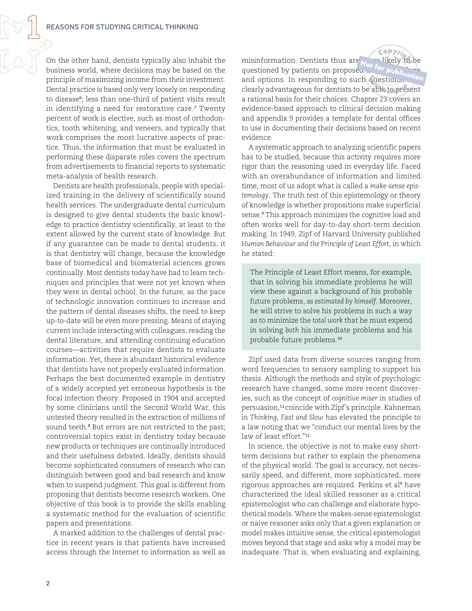**1**

**1**

 **<sup>1</sup> 1**

 **1 1**

**1 1 1 1**<br>**1 1 1 1**<br>**1 1 1 1**<br>**1 1 1 1**<br>**1** On the other hand, dentists typically also inhabit the business world, where decisions may be based on the principle of maximizing income from their investment. Dental practice is based only very loosely on responding to disease<sup>6</sup>; less than one-third of patient visits result in identifying a need for restorative care.<sup>7</sup> Twenty percent of work is elective, such as most of orthodontics, tooth whitening, and veneers, and typically that work comprises the most lucrative aspects of practice. Thus, the information that must be evaluated in performing these disparate roles covers the spectrum from advertisements to financial reports to systematic meta-analysis of health research.

> Dentists are health professionals, people with specialized training in the delivery of scientifically sound health services. The undergraduate dental curriculum is designed to give dental students the basic knowledge to practice dentistry scientifically, at least to the extent allowed by the current state of knowledge. But if any guarantee can be made to dental students, it is that dentistry will change, because the knowledge base of biomedical and biomaterial sciences grows continually. Most dentists today have had to learn techniques and principles that were not yet known when they were in dental school. In the future, as the pace of technologic innovation continues to increase and the pattern of dental diseases shifts, the need to keep up-to-date will be even more pressing. Means of staying current include interacting with colleagues, reading the dental literature, and attending continuing education courses—activities that require dentists to evaluate information. Yet, there is abundant historical evidence that dentists have not properly evaluated information. Perhaps the best documented example in dentistry of a widely accepted yet erroneous hypothesis is the focal infection theory. Proposed in 1904 and accepted by some clinicians until the Second World War, this untested theory resulted in the extraction of millions of sound teeth.<sup>8</sup> But errors are not restricted to the past; controversial topics exist in dentistry today because new products or techniques are continually introduced and their usefulness debated. Ideally, dentists should become sophisticated consumers of research who can distinguish between good and bad research and know when to suspend judgment. This goal is different from proposing that dentists become research workers. One objective of this book is to provide the skills enabling a systematic method for the evaluation of scientific papers and presentations.

> A marked addition to the challenges of dental practice in recent years is that patients have increased access through the Internet to information as well as

**COPY** misinformation. Dentists thus are **multiply to** be questioned by patients on proposeup. The public me and options. In responding to such  $q$  destions, clearly advantageous for dentists to be able to present a rational basis for their choices. Chapter 23 covers an evidence-based approach to clinical decision making and appendix 9 provides a template for dental offices to use in documenting their decisions based on recent evidence.

A systematic approach to analyzing scientific papers has to be studied, because this activity requires more rigor than the reasoning used in everyday life. Faced with an overabundance of information and limited time, most of us adopt what is called a *make-sense epistemology*. The truth test of this epistemology or theory of knowledge is whether propositions make superficial sense.<sup>9</sup> This approach minimizes the cognitive load and often works well for day-to-day short-term decision making. In 1949, Zipf of Harvard University published *Human Behaviour and the Principle of Least Effort*, in which he stated:

The Principle of Least Effort means, for example, that in solving his immediate problems he will view these against a background of his probable future problems, *as estimated by himself*. Moreover, he will strive to solve his problems in such a way as to minimize the *total work* that he must expend in solving *both* his immediate problems and his probable future problems.<sup>10</sup>

Zipf used data from diverse sources ranging from word frequencies to sensory sampling to support his thesis. Although the methods and style of psychologic research have changed, some more recent discoveries, such as the concept of *cognitive miser* in studies of persuasion,<sup>11</sup> coincide with Zipf's principle. Kahneman in *Thinking, Fast and Slow* has elevated the principle to a law noting that we "conduct our mental lives by the law of least effort."<sup>12</sup>

In science, the objective is not to make easy shortterm decisions but rather to explain the phenomena of the physical world. The goal is accuracy, not necessarily speed, and different, more sophisticated, more rigorous approaches are required. Perkins et al<sup>9</sup> have characterized the ideal skilled reasoner as a critical epistemologist who can challenge and elaborate hypothetical models. Where the makes-sense epistemologist or naive reasoner asks only that a given explanation or model makes intuitive sense, the critical epistemologist moves beyond that stage and asks why a model may be inadequate. That is, when evaluating and explaining,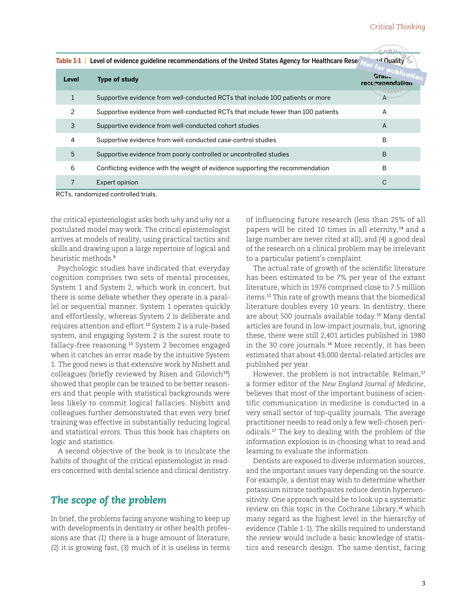$\sqrt{2\pi}$ 

| <b>MOuality</b><br>Level of evidence guideline recommendations of the United States Agency for Healthcare Rese<br>Table 1-1<br>Wol for |                                                                                   |                |
|----------------------------------------------------------------------------------------------------------------------------------------|-----------------------------------------------------------------------------------|----------------|
| Level                                                                                                                                  | Type of study                                                                     | recommendation |
|                                                                                                                                        | Supportive evidence from well-conducted RCTs that include 100 patients or more    | $\mathsf{H}$   |
| $\overline{2}$                                                                                                                         | Supportive evidence from well-conducted RCTs that include fewer than 100 patients | A              |
| 3                                                                                                                                      | Supportive evidence from well-conducted cohort studies                            | $\overline{A}$ |
| 4                                                                                                                                      | Supportive evidence from well-conducted case-control studies                      | B              |
| 5                                                                                                                                      | Supportive evidence from poorly controlled or uncontrolled studies                | B              |
| 6                                                                                                                                      | Conflicting evidence with the weight of evidence supporting the recommendation    | B              |
|                                                                                                                                        | Expert opinion                                                                    | С              |

RCTs, randomized controlled trials.

the critical epistemologist asks both *why* and *why not* a postulated model may work. The critical epistemologist arrives at models of reality, using practical tactics and skills and drawing upon a large repertoire of logical and heuristic methods.<sup>9</sup>

Psychologic studies have indicated that everyday cognition comprises two sets of mental processes, System 1 and System 2, which work in concert, but there is some debate whether they operate in a parallel or sequential manner. System 1 operates quickly and effortlessly, whereas System 2 is deliberate and requires attention and effort.<sup>12</sup> System 2 is a rule-based system, and engaging System 2 is the surest route to fallacy-free reasoning.<sup>13</sup> System 2 becomes engaged when it catches an error made by the intuitive System 1. The good news is that extensive work by Nisbett and colleagues (briefly reviewed by Risen and Gilovich<sup>13</sup>) showed that people can be trained to be better reasoners and that people with statistical backgrounds were less likely to commit logical fallacies. Nisbitt and colleagues further demonstrated that even very brief training was effective in substantially reducing logical and statistical errors. Thus this book has chapters on logic and statistics.

A second objective of the book is to inculcate the habits of thought of the critical epistemologist in readers concerned with dental science and clinical dentistry.

### *The scope of the problem*

In brief, the problems facing anyone wishing to keep up with developments in dentistry or other health professions are that *(1)* there is a huge amount of literature, *(2)* it is growing fast, *(3)* much of it is useless in terms

of influencing future research (less than 25% of all papers will be cited 10 times in all eternity,<sup>14</sup> and a large number are never cited at all), and *(4)* a good deal of the research on a clinical problem may be irrelevant to a particular patient's complaint

The actual rate of growth of the scientific literature has been estimated to be 7% per year of the extant literature, which in 1976 comprised close to 7.5 million items.<sup>11</sup> This rate of growth means that the biomedical literature doubles every 10 years. In dentistry, there are about 500 journals available today.<sup>15</sup> Many dental articles are found in low-impact journals, but, ignoring these, there were still 2,401 articles published in 1980 in the 30 core journals.<sup>16</sup> More recently, it has been estimated that about 43,000 dental-related articles are published per year.

However, the problem is not intractable. Relman,<sup>17</sup> a former editor of the *New England Journal of Medicine*, believes that most of the important business of scientific communication in medicine is conducted in a very small sector of top-quality journals. The average practitioner needs to read only a few well-chosen periodicals.<sup>17</sup> The key to dealing with the problem of the information explosion is in choosing what to read and learning to evaluate the information.

Dentists are exposed to diverse information sources, and the important issues vary depending on the source. For example, a dentist may wish to determine whether potassium nitrate toothpastes reduce dentin hypersensitivity. One approach would be to look up a systematic review on this topic in the Cochrane Library,<sup>18</sup> which many regard as the highest level in the hierarchy of evidence (Table 1-1). The skills required to understand the review would include a basic knowledge of statistics and research design. The same dentist, facing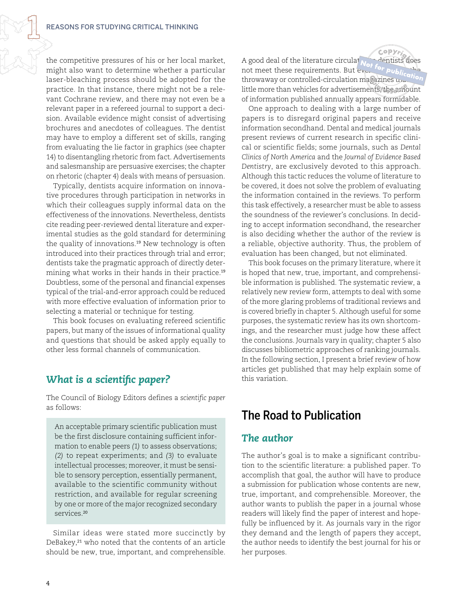**1**

**1**

 **<sup>1</sup> 1**

 **1 1**

**1 1 1 1**<br>**1 1 1**<br>**1 1**<br>**1** the competitive pressures of his or her local market, might also want to determine whether a particular laser-bleaching process should be adopted for the practice. In that instance, there might not be a relevant Cochrane review, and there may not even be a relevant paper in a refereed journal to support a decision. Available evidence might consist of advertising brochures and anecdotes of colleagues. The dentist may have to employ a different set of skills, ranging from evaluating the lie factor in graphics (see chapter 14) to disentangling rhetoric from fact. Advertisements and salesmanship are persuasive exercises; the chapter on rhetoric (chapter 4) deals with means of persuasion.

Typically, dentists acquire information on innovative procedures through participation in networks in which their colleagues supply informal data on the effectiveness of the innovations. Nevertheless, dentists cite reading peer-reviewed dental literature and experimental studies as the gold standard for determining the quality of innovations.<sup>19</sup> New technology is often introduced into their practices through trial and error; dentists take the pragmatic approach of directly determining what works in their hands in their practice.<sup>19</sup> Doubtless, some of the personal and financial expenses typical of the trial-and-error approach could be reduced with more effective evaluation of information prior to selecting a material or technique for testing.

This book focuses on evaluating refereed scientific papers, but many of the issues of informational quality and questions that should be asked apply equally to other less formal channels of communication.

### *What is a scientific paper?*

The Council of Biology Editors defines a *scientific paper*  as follows:

An acceptable primary scientific publication must be the first disclosure containing sufficient information to enable peers *(1)* to assess observations; *(2)* to repeat experiments; and *(3)* to evaluate intellectual processes; moreover, it must be sensible to sensory perception, essentially permanent, available to the scientific community without restriction, and available for regular screening by one or more of the major recognized secondary services.<sup>20</sup>

Similar ideas were stated more succinctly by DeBakey,<sup>21</sup> who noted that the contents of an article should be new, true, important, and comprehensible.

**CODV** A good deal of the literature circulated to dentists coes not meet these requirements. But even the public that throwaway or controlled-circulation magazines  $\mathfrak{u}_{\mathfrak{u}\alpha}$ little more than vehicles for advertisements, the amount of information published annually appears formidable.

One approach to dealing with a large number of papers is to disregard original papers and receive information secondhand. Dental and medical journals present reviews of current research in specific clinical or scientific fields; some journals, such as *Dental Clinics of North America* and the *Journal of Evidence Based Dentistry*, are exclusively devoted to this approach. Although this tactic reduces the volume of literature to be covered, it does not solve the problem of evaluating the information contained in the reviews. To perform this task effectively, a researcher must be able to assess the soundness of the reviewer's conclusions. In deciding to accept information secondhand, the researcher is also deciding whether the author of the review is a reliable, objective authority. Thus, the problem of evaluation has been changed, but not eliminated.

This book focuses on the primary literature, where it is hoped that new, true, important, and comprehensible information is published. The systematic review, a relatively new review form, attempts to deal with some of the more glaring problems of traditional reviews and is covered briefly in chapter 5. Although useful for some purposes, the systematic review has its own shortcomings, and the researcher must judge how these affect the conclusions. Journals vary in quality; chapter 5 also discusses bibliometric approaches of ranking journals. In the following section, I present a brief review of how articles get published that may help explain some of this variation.

### The Road to Publication

### *The author*

The author's goal is to make a significant contribution to the scientific literature: a published paper. To accomplish that goal, the author will have to produce a submission for publication whose contents are new, true, important, and comprehensible. Moreover, the author wants to publish the paper in a journal whose readers will likely find the paper of interest and hopefully be influenced by it. As journals vary in the rigor they demand and the length of papers they accept, the author needs to identify the best journal for his or her purposes.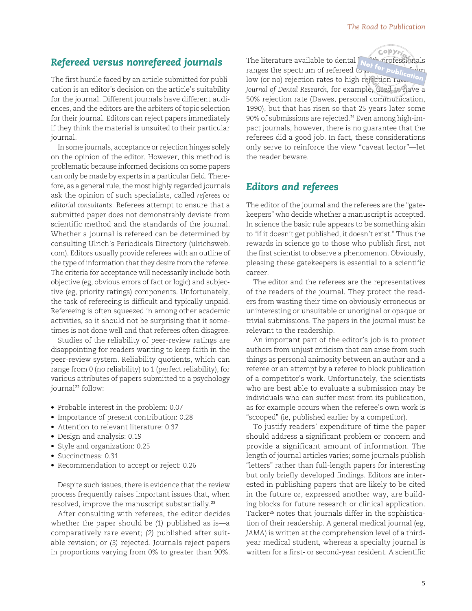### *Refereed versus nonrefereed journals*

The first hurdle faced by an article submitted for publication is an editor's decision on the article's suitability for the journal. Different journals have different audiences, and the editors are the arbiters of topic selection for their journal. Editors can reject papers immediately if they think the material is unsuited to their particular journal.

In some journals, acceptance or rejection hinges solely on the opinion of the editor. However, this method is problematic because informed decisions on some papers can only be made by experts in a particular field. Therefore, as a general rule, the most highly regarded journals ask the opinion of such specialists, called *referees* or *editorial consultants*. Referees attempt to ensure that a submitted paper does not demonstrably deviate from scientific method and the standards of the journal. Whether a journal is refereed can be determined by consulting Ulrich's Periodicals Directory (ulrichsweb. com). Editors usually provide referees with an outline of the type of information that they desire from the referee. The criteria for acceptance will necessarily include both objective (eg, obvious errors of fact or logic) and subjective (eg, priority ratings) components. Unfortunately, the task of refereeing is difficult and typically unpaid. Refereeing is often squeezed in among other academic activities, so it should not be surprising that it sometimes is not done well and that referees often disagree.

Studies of the reliability of peer-review ratings are disappointing for readers wanting to keep faith in the peer-review system. Reliability quotients, which can range from 0 (no reliability) to 1 (perfect reliability), for various attributes of papers submitted to a psychology journal<sup>22</sup> follow:

- Probable interest in the problem: 0.07
- Importance of present contribution: 0.28
- Attention to relevant literature: 0.37
- Design and analysis: 0.19
- Style and organization: 0.25
- Succinctness: 0.31
- Recommendation to accept or reject: 0.26

Despite such issues, there is evidence that the review process frequently raises important issues that, when resolved, improve the manuscript substantially.<sup>23</sup>

After consulting with referees, the editor decides whether the paper should be *(1)* published as is—a comparatively rare event; *(2)* published after suitable revision; or *(3)* rejected. Journals reject papers in proportions varying from 0% to greater than 90%.

**COPY** The literature available to dental  $h_{\rm eff}$  is professionals ranges the spectrum of refereed to  $\mathbf{p}$ . For  $\mathbf{p}$   $\mathbf{q}$  from low (or no) rejection rates to high rejection rates. Journal of Dental Research, for example, used to have a 50% rejection rate (Dawes, personal communication, 1990), but that has risen so that 25 years later some 90% of submissions are rejected.<sup>24</sup> Even among high-impact journals, however, there is no guarantee that the referees did a good job. In fact, these considerations only serve to reinforce the view "caveat lector"—let the reader beware.

### *Editors and referees*

The editor of the journal and the referees are the "gatekeepers" who decide whether a manuscript is accepted. In science the basic rule appears to be something akin to "if it doesn't get published, it doesn't exist." Thus the rewards in science go to those who publish first, not the first scientist to observe a phenomenon. Obviously, pleasing these gatekeepers is essential to a scientific career.

The editor and the referees are the representatives of the readers of the journal. They protect the readers from wasting their time on obviously erroneous or uninteresting or unsuitable or unoriginal or opaque or trivial submissions. The papers in the journal must be relevant to the readership.

An important part of the editor's job is to protect authors from unjust criticism that can arise from such things as personal animosity between an author and a referee or an attempt by a referee to block publication of a competitor's work. Unfortunately, the scientists who are best able to evaluate a submission may be individuals who can suffer most from its publication, as for example occurs when the referee's own work is "scooped" (ie, published earlier by a competitor).

To justify readers' expenditure of time the paper should address a significant problem or concern and provide a significant amount of information. The length of journal articles varies; some journals publish "letters" rather than full-length papers for interesting but only briefly developed findings. Editors are interested in publishing papers that are likely to be cited in the future or, expressed another way, are building blocks for future research or clinical application. Tacker<sup>25</sup> notes that journals differ in the sophistication of their readership. A general medical journal (eg, *JAMA*) is written at the comprehension level of a thirdyear medical student, whereas a specialty journal is written for a first- or second-year resident. A scientific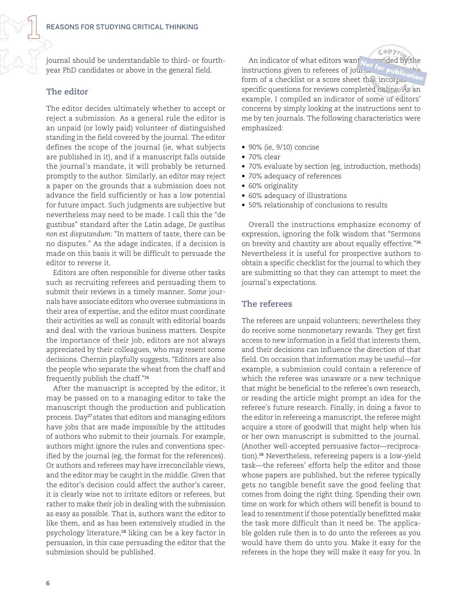**1 1 1**<br>**1 1**<br>**1 1**<br>**1 1**<br>**1**<br>**1**<br>**1** journal should be understandable to third- or fourthyear PhD candidates or above in the general field.

### **The editor**

**1**

**1**

 **<sup>1</sup> 1**

 **1 1**

The editor decides ultimately whether to accept or reject a submission. As a general rule the editor is an unpaid (or lowly paid) volunteer of distinguished standing in the field covered by the journal. The editor defines the scope of the journal (ie, what subjects are published in it), and if a manuscript falls outside the journal's mandate, it will probably be returned promptly to the author. Similarly, an editor may reject a paper on the grounds that a submission does not advance the field sufficiently or has a low potential for future impact. Such judgments are subjective but nevertheless may need to be made. I call this the "de gustibus" standard after the Latin adage, *De gustibus non est disputandum*: "In matters of taste, there can be no disputes." As the adage indicates, if a decision is made on this basis it will be difficult to persuade the editor to reverse it.

Editors are often responsible for diverse other tasks such as recruiting referees and persuading them to submit their reviews in a timely manner. Some journals have associate editors who oversee submissions in their area of expertise, and the editor must coordinate their activities as well as consult with editorial boards and deal with the various business matters. Despite the importance of their job, editors are not always appreciated by their colleagues, who may resent some decisions. Chernin playfully suggests, "Editors are also the people who separate the wheat from the chaff and frequently publish the chaff."<sup>26</sup>

After the manuscript is accepted by the editor, it may be passed on to a managing editor to take the manuscript though the production and publication process. Day<sup>27</sup> states that editors and managing editors have jobs that are made impossible by the attitudes of authors who submit to their journals. For example, authors might ignore the rules and conventions specified by the journal (eg, the format for the references). Or authors and referees may have irreconcilable views, and the editor may be caught in the middle. Given that the editor's decision could affect the author's career, it is clearly wise not to irritate editors or referees, but rather to make their job in dealing with the submission as easy as possible. That is, authors want the editor to like them, and as has been extensively studied in the psychology literature,<sup>28</sup> liking can be a key factor in persuasion, in this case persuading the editor that the submission should be published.

**COPY** An indicator of what editors want  $\mathbf{w}$  revided by the instructions given to referees of journal for public the form of a checklist or a score sheet that incorpor specific questions for reviews completed online. As an example, I compiled an indicator of some of editors' concerns by simply looking at the instructions sent to me by ten journals. The following characteristics were emphasized:

- 90% (ie, 9/10) concise
- 70% clear
- 70% evaluate by section (eg, introduction, methods)
- 70% adequacy of references
- 60% originality
- 60% adequacy of illustrations
- 50% relationship of conclusions to results

Overall the instructions emphasize economy of expression, ignoring the folk wisdom that "Sermons on brevity and chastity are about equally effective."26 Nevertheless it is useful for prospective authors to obtain a specific checklist for the journal to which they are submitting so that they can attempt to meet the journal's expectations.

### **The referees**

The referees are unpaid volunteers; nevertheless they do receive some nonmonetary rewards. They get first access to new information in a field that interests them, and their decisions can influence the direction of that field. On occasion that information may be useful—for example, a submission could contain a reference of which the referee was unaware or a new technique that might be beneficial to the referee's own research, or reading the article might prompt an idea for the referee's future research. Finally, in doing a favor to the editor in refereeing a manuscript, the referee might acquire a store of goodwill that might help when his or her own manuscript is submitted to the journal. (Another well-accepted persuasive factor—reciprocation).<sup>28</sup> Nevertheless, refereeing papers is a low-yield task—the referees' efforts help the editor and those whose papers are published, but the referee typically gets no tangible benefit save the good feeling that comes from doing the right thing. Spending their own time on work for which others will benefit is bound to lead to resentment if those potentially benefitted make the task more difficult than it need be. The applicable golden rule then is to do unto the referees as you would have them do unto you. Make it easy for the referees in the hope they will make it easy for you. In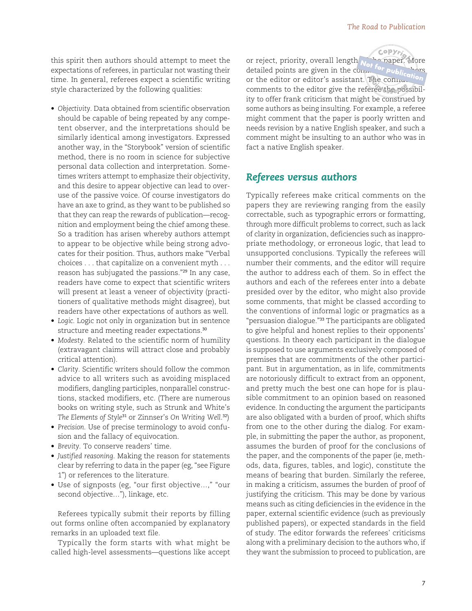this spirit then authors should attempt to meet the expectations of referees, in particular not wasting their time. In general, referees expect a scientific writing style characterized by the following qualities:

- *• Objectivity.* Data obtained from scientific observation should be capable of being repeated by any competent observer, and the interpretations should be similarly identical among investigators. Expressed another way, in the "Storybook" version of scientific method, there is no room in science for subjective personal data collection and interpretation. Sometimes writers attempt to emphasize their objectivity, and this desire to appear objective can lead to overuse of the passive voice. Of course investigators do have an axe to grind, as they want to be published so that they can reap the rewards of publication—recognition and employment being the chief among these. So a tradition has arisen whereby authors attempt to appear to be objective while being strong advocates for their position. Thus, authors make "Verbal choices . . . that capitalize on a convenient myth . . . reason has subjugated the passions."<sup>29</sup> In any case, readers have come to expect that scientific writers will present at least a veneer of objectivity (practitioners of qualitative methods might disagree), but readers have other expectations of authors as well.
- *• Logic.* Logic not only in organization but in sentence structure and meeting reader expectations.<sup>30</sup>
- *• Modesty.* Related to the scientific norm of humility (extravagant claims will attract close and probably critical attention).
- *• Clarity.* Scientific writers should follow the common advice to all writers such as avoiding misplaced modifiers, dangling participles, nonparallel constructions, stacked modifiers, etc. (There are numerous books on writing style, such as Strunk and White's *The Elements of Style*<sup>31</sup> or Zinnser's *On Writing Well*. 32)
- *• Precision.* Use of precise terminology to avoid confusion and the fallacy of equivocation.
- *• Brevity.* To conserve readers' time.
- *• Justified reasoning.* Making the reason for statements clear by referring to data in the paper (eg, "see Figure 1") or references to the literature.
- Use of signposts (eg, "our first objective…," "our second objective…"), linkage, etc.

Referees typically submit their reports by filling out forms online often accompanied by explanatory remarks in an uploaded text file.

Typically the form starts with what might be called high-level assessments—questions like accept

or reject, priority, overall length **of the paper.** More detailed points are given in the committee public to as or the editor or editor's assistant. The confident  $\|$ comments to the editor give the referee the possibility to offer frank criticism that might be construed by some authors as being insulting. For example, a referee might comment that the paper is poorly written and needs revision by a native English speaker, and such a comment might be insulting to an author who was in fact a native English speaker.

### *Referees versus authors*

Typically referees make critical comments on the papers they are reviewing ranging from the easily correctable, such as typographic errors or formatting, through more difficult problems to correct, such as lack of clarity in organization, deficiencies such as inappropriate methodology, or erroneous logic, that lead to unsupported conclusions. Typically the referees will number their comments, and the editor will require the author to address each of them. So in effect the authors and each of the referees enter into a debate presided over by the editor, who might also provide some comments, that might be classed according to the conventions of informal logic or pragmatics as a "persuasion dialogue."<sup>33</sup> The participants are obligated to give helpful and honest replies to their opponents' questions. In theory each participant in the dialogue is supposed to use arguments exclusively composed of premises that are commitments of the other participant. But in argumentation, as in life, commitments are notoriously difficult to extract from an opponent, and pretty much the best one can hope for is plausible commitment to an opinion based on reasoned evidence. In conducting the argument the participants are also obligated with a burden of proof, which shifts from one to the other during the dialog. For example, in submitting the paper the author, as proponent, assumes the burden of proof for the conclusions of the paper, and the components of the paper (ie, methods, data, figures, tables, and logic), constitute the means of bearing that burden. Similarly the referee, in making a criticism, assumes the burden of proof of justifying the criticism. This may be done by various means such as citing deficiencies in the evidence in the paper, external scientific evidence (such as previously published papers), or expected standards in the field of study. The editor forwards the referees' criticisms along with a preliminary decision to the authors who, if they want the submission to proceed to publication, are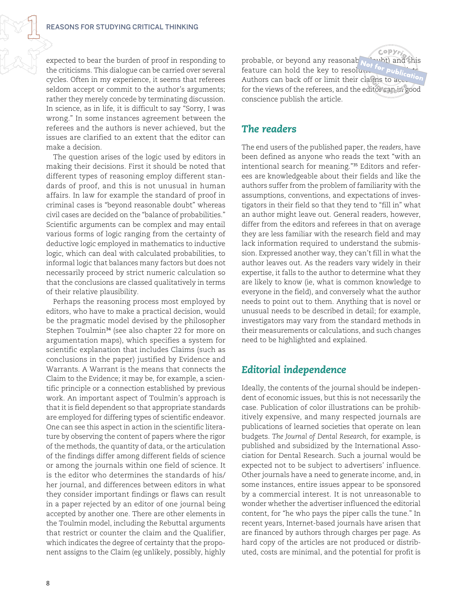**1**

**1**

 **<sup>1</sup> 1**

 **1 1**

**1 1 1** expected to bear the burden of proof in responding to the criticisms. This dialogue can be carried over several cycles. Often in my experience, it seems that referees seldom accept or commit to the author's arguments; rather they merely concede by terminating discussion. In science, as in life, it is difficult to say "Sorry, I was wrong." In some instances agreement between the referees and the authors is never achieved, but the issues are clarified to an extent that the editor can make a decision.

> The question arises of the logic used by editors in making their decisions. First it should be noted that different types of reasoning employ different standards of proof, and this is not unusual in human affairs. In law for example the standard of proof in criminal cases is "beyond reasonable doubt" whereas civil cases are decided on the "balance of probabilities." Scientific arguments can be complex and may entail various forms of logic ranging from the certainty of deductive logic employed in mathematics to inductive logic, which can deal with calculated probabilities, to informal logic that balances many factors but does not necessarily proceed by strict numeric calculation so that the conclusions are classed qualitatively in terms of their relative plausibility.

> Perhaps the reasoning process most employed by editors, who have to make a practical decision, would be the pragmatic model devised by the philosopher Stephen Toulmin<sup>34</sup> (see also chapter 22 for more on argumentation maps), which specifies a system for scientific explanation that includes Claims (such as conclusions in the paper) justified by Evidence and Warrants. A Warrant is the means that connects the Claim to the Evidence; it may be, for example, a scientific principle or a connection established by previous work. An important aspect of Toulmin's approach is that it is field dependent so that appropriate standards are employed for differing types of scientific endeavor. One can see this aspect in action in the scientific literature by observing the content of papers where the rigor of the methods, the quantity of data, or the articulation of the findings differ among different fields of science or among the journals within one field of science. It is the editor who determines the standards of his/ her journal, and differences between editors in what they consider important findings or flaws can result in a paper rejected by an editor of one journal being accepted by another one. There are other elements in the Toulmin model, including the Rebuttal arguments that restrict or counter the claim and the Qualifier, which indicates the degree of certainty that the proponent assigns to the Claim (eg unlikely, possibly, highly

8

**COPY** probable, or beyond any reasonably doubt) and this feature can hold the key to resolution of public  $\mathcal{L}^{\text{a}}$ Authors can back off or limit their claims to acc for the views of the referees, and the editor can in good conscience publish the article.

### *The readers*

The end users of the published paper, the *readers*, have been defined as anyone who reads the text "with an intentional search for meaning."35 Editors and referees are knowledgeable about their fields and like the authors suffer from the problem of familiarity with the assumptions, conventions, and expectations of investigators in their field so that they tend to "fill in" what an author might leave out. General readers, however, differ from the editors and referees in that on average they are less familiar with the research field and may lack information required to understand the submission. Expressed another way, they can't fill in what the author leaves out. As the readers vary widely in their expertise, it falls to the author to determine what they are likely to know (ie, what is common knowledge to everyone in the field), and conversely what the author needs to point out to them. Anything that is novel or unusual needs to be described in detail; for example, investigators may vary from the standard methods in their measurements or calculations, and such changes need to be highlighted and explained.

### *Editorial independence*

Ideally, the contents of the journal should be independent of economic issues, but this is not necessarily the case. Publication of color illustrations can be prohibitively expensive, and many respected journals are publications of learned societies that operate on lean budgets. *The Journal of Dental Research*, for example, is published and subsidized by the International Association for Dental Research. Such a journal would be expected not to be subject to advertisers' influence. Other journals have a need to generate income, and, in some instances, entire issues appear to be sponsored by a commercial interest. It is not unreasonable to wonder whether the advertiser influenced the editorial content, for "he who pays the piper calls the tune." In recent years, Internet-based journals have arisen that are financed by authors through charges per page. As hard copy of the articles are not produced or distributed, costs are minimal, and the potential for profit is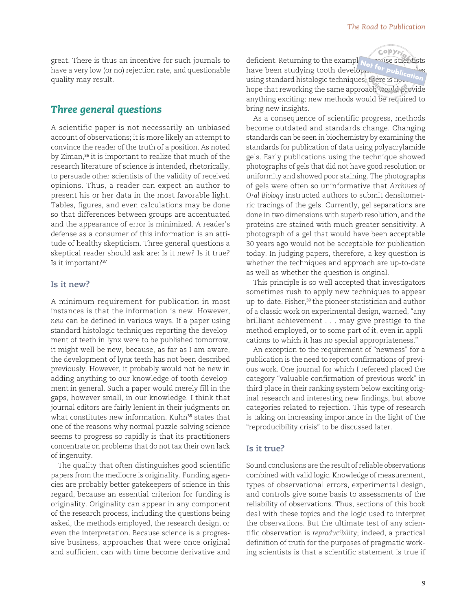great. There is thus an incentive for such journals to have a very low (or no) rejection rate, and questionable quality may result.

### *Three general questions*

A scientific paper is not necessarily an unbiased account of observations; it is more likely an attempt to convince the reader of the truth of a position. As noted by Ziman,<sup>36</sup> it is important to realize that much of the research literature of science is intended, rhetorically, to persuade other scientists of the validity of received opinions. Thus, a reader can expect an author to present his or her data in the most favorable light. Tables, figures, and even calculations may be done so that differences between groups are accentuated and the appearance of error is minimized. A reader's defense as a consumer of this information is an attitude of healthy skepticism. Three general questions a skeptical reader should ask are: Is it new? Is it true? Is it important?<sup>37</sup>

### **Is it new?**

A minimum requirement for publication in most instances is that the information is new. However, *new* can be defined in various ways. If a paper using standard histologic techniques reporting the development of teeth in lynx were to be published tomorrow, it might well be new, because, as far as I am aware, the development of lynx teeth has not been described previously. However, it probably would not be new in adding anything to our knowledge of tooth development in general. Such a paper would merely fill in the gaps, however small, in our knowledge. I think that journal editors are fairly lenient in their judgments on what constitutes new information. Kuhn<sup>38</sup> states that one of the reasons why normal puzzle-solving science seems to progress so rapidly is that its practitioners concentrate on problems that do not tax their own lack of ingenuity.

The quality that often distinguishes good scientific papers from the mediocre is originality. Funding agencies are probably better gatekeepers of science in this regard, because an essential criterion for funding is originality. Originality can appear in any component of the research process, including the questions being asked, the methods employed, the research design, or even the interpretation. Because science is a progressive business, approaches that were once original and sufficient can with time become derivative and

ϾϙϷϒϧ deficient. Returning to the example,  $\mathbb{R}^{n \times n}$ ise scientists have been studying tooth development **public** desire using standard histologic techniques, there is not. hope that reworking the same approach would provide anything exciting; new methods would be required to bring new insights.

As a consequence of scientific progress, methods become outdated and standards change. Changing standards can be seen in biochemistry by examining the standards for publication of data using polyacrylamide gels. Early publications using the technique showed photographs of gels that did not have good resolution or uniformity and showed poor staining. The photographs of gels were often so uninformative that *Archives of Oral Biology* instructed authors to submit densitometric tracings of the gels. Currently, gel separations are done in two dimensions with superb resolution, and the proteins are stained with much greater sensitivity. A photograph of a gel that would have been acceptable 30 years ago would not be acceptable for publication today. In judging papers, therefore, a key question is whether the techniques and approach are up-to-date as well as whether the question is original.

This principle is so well accepted that investigators sometimes rush to apply new techniques to appear up-to-date. Fisher,<sup>39</sup> the pioneer statistician and author of a classic work on experimental design, warned, "any brilliant achievement . . . may give prestige to the method employed, or to some part of it, even in applications to which it has no special appropriateness."

An exception to the requirement of "newness" for a publication is the need to report confirmations of previous work. One journal for which I refereed placed the category "valuable confirmation of previous work" in third place in their ranking system below exciting original research and interesting new findings, but above categories related to rejection. This type of research is taking on increasing importance in the light of the "reproducibility crisis" to be discussed later.

#### **Is it true?**

Sound conclusions are the result of reliable observations combined with valid logic. Knowledge of measurement, types of observational errors, experimental design, and controls give some basis to assessments of the reliability of observations. Thus, sections of this book deal with these topics and the logic used to interpret the observations. But the ultimate test of any scientific observation is *reproducibility*; indeed, a practical definition of truth for the purposes of pragmatic working scientists is that a scientific statement is true if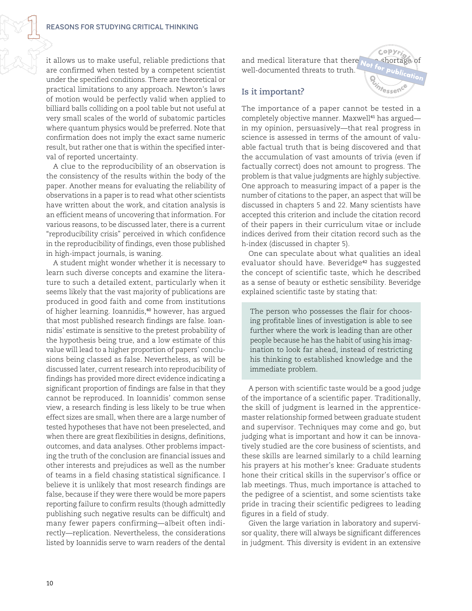**1**

**1**

 **<sup>1</sup> 1**

 **1 1**

**1 1 1** it allows us to make useful, reliable predictions that are confirmed when tested by a competent scientist under the specified conditions. There are theoretical or practical limitations to any approach. Newton's laws of motion would be perfectly valid when applied to billiard balls colliding on a pool table but not useful at very small scales of the world of subatomic particles where quantum physics would be preferred. Note that confirmation does not imply the exact same numeric result, but rather one that is within the specified interval of reported uncertainty.

> A clue to the reproducibility of an observation is the consistency of the results within the body of the paper. Another means for evaluating the reliability of observations in a paper is to read what other scientists have written about the work, and citation analysis is an efficient means of uncovering that information. For various reasons, to be discussed later, there is a current "reproducibility crisis" perceived in which confidence in the reproducibility of findings, even those published in high-impact journals, is waning.

> A student might wonder whether it is necessary to learn such diverse concepts and examine the literature to such a detailed extent, particularly when it seems likely that the vast majority of publications are produced in good faith and come from institutions of higher learning. Ioannidis,<sup>40</sup> however, has argued that most published research findings are false. Ioannidis' estimate is sensitive to the pretest probability of the hypothesis being true, and a low estimate of this value will lead to a higher proportion of papers' conclusions being classed as false. Nevertheless, as will be discussed later, current research into reproducibility of findings has provided more direct evidence indicating a significant proportion of findings are false in that they cannot be reproduced. In Ioannidis' common sense view, a research finding is less likely to be true when effect sizes are small, when there are a large number of tested hypotheses that have not been preselected, and when there are great flexibilities in designs, definitions, outcomes, and data analyses. Other problems impacting the truth of the conclusion are financial issues and other interests and prejudices as well as the number of teams in a field chasing statistical significance. I believe it is unlikely that most research findings are false, because if they were there would be more papers reporting failure to confirm results (though admittedly publishing such negative results can be difficult) and many fewer papers confirming—albeit often indirectly—replication. Nevertheless, the considerations listed by Ioannidis serve to warn readers of the dental

and medical literature that there  $\overline{\mathsf{N}_{\mathsf{old}}}$  shortage well-documented threats to truth.

h<sub>esse</sub>r

#### **Is it important?**

The importance of a paper cannot be tested in a completely objective manner. Maxwell<sup>41</sup> has argued in my opinion, persuasively—that real progress in science is assessed in terms of the amount of valuable factual truth that is being discovered and that the accumulation of vast amounts of trivia (even if factually correct) does not amount to progress. The problem is that value judgments are highly subjective. One approach to measuring impact of a paper is the number of citations to the paper, an aspect that will be discussed in chapters 5 and 22. Many scientists have accepted this criterion and include the citation record of their papers in their curriculum vitae or include indices derived from their citation record such as the h-index (discussed in chapter 5).

One can speculate about what qualities an ideal evaluator should have. Beveridge<sup>42</sup> has suggested the concept of scientific taste, which he described as a sense of beauty or esthetic sensibility. Beveridge explained scientific taste by stating that:

The person who possesses the flair for choosing profitable lines of investigation is able to see further where the work is leading than are other people because he has the habit of using his imagination to look far ahead, instead of restricting his thinking to established knowledge and the immediate problem.

A person with scientific taste would be a good judge of the importance of a scientific paper. Traditionally, the skill of judgment is learned in the apprenticemaster relationship formed between graduate student and supervisor. Techniques may come and go, but judging what is important and how it can be innovatively studied are the core business of scientists, and these skills are learned similarly to a child learning his prayers at his mother's knee: Graduate students hone their critical skills in the supervisor's office or lab meetings. Thus, much importance is attached to the pedigree of a scientist, and some scientists take pride in tracing their scientific pedigrees to leading figures in a field of study.

Given the large variation in laboratory and supervisor quality, there will always be significant differences in judgment. This diversity is evident in an extensive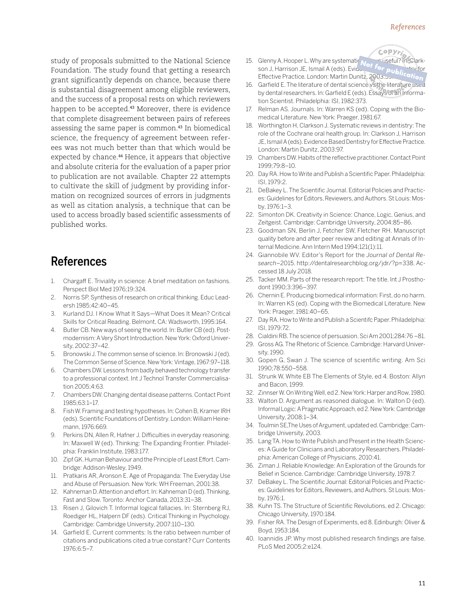**COPY** 

study of proposals submitted to the National Science Foundation. The study found that getting a research grant significantly depends on chance, because there is substantial disagreement among eligible reviewers, and the success of a proposal rests on which reviewers happen to be accepted.<sup>43</sup> Moreover, there is evidence that complete disagreement between pairs of referees assessing the same paper is common.<sup>43</sup> In biomedical science, the frequency of agreement between referees was not much better than that which would be expected by chance.<sup>44</sup> Hence, it appears that objective and absolute criteria for the evaluation of a paper prior to publication are not available. Chapter 22 attempts to cultivate the skill of judgment by providing information on recognized sources of errors in judgments as well as citation analysis, a technique that can be used to access broadly based scientific assessments of published works.

### References

- 1. Chargaff E. Triviality in science: A brief meditation on fashions. Perspect Biol Med 1976;19:324.
- 2. Norris SP. Synthesis of research on critical thinking. Educ Leadersh 1985;42:40–45.
- 3. Kurland DJ. I Know What It Says—What Does It Mean? Critical Skills for Critical Reading. Belmont, CA: Wadsworth, 1995:164.
- 4. Butler CB. New ways of seeing the world. In: Butler CB (ed). Postmodernism: A Very Short Introduction. New York: Oxford University, 2002:37–42.
- 5. Bronowski J. The common sense of science. In: Bronowski J (ed). The Common Sense of Science. New York: Vintage, 1967:97–118.
- 6. Chambers DW. Lessons from badly behaved technology transfer to a professional context. Int J Technol Transfer Commercialisation 2005;4:63.
- 7. Chambers DW. Changing dental disease patterns. Contact Point 1985;63:1–17.
- 8. Fish W. Framing and testing hypotheses. In: Cohen B, Kramer IRH (eds). Scientific Foundations of Dentistry. London: William Heinemann, 1976:669.
- 9. Perkins DN, Allen R, Hafner J. Difficulties in everyday reasoning. In: Maxwell W (ed). Thinking: The Expanding Frontier. Philadelphia: Franklin Institute, 1983:177.
- 10. Zipf GK. Human Behaviour and the Principle of Least Effort. Cambridge: Addison-Wesley, 1949.
- 11. Pratkaris AR, Aronson E. Age of Propaganda: The Everyday Use and Abuse of Persuasion. New York: WH Freeman, 2001:38.
- 12. Kahneman D. Attention and effort. In: Kahneman D (ed). Thinking, Fast and Slow. Toronto: Anchor Canada, 2013:31–38.
- 13. Risen J, Gilovich T. Informal logical fallacies. In: Sternberg RJ, Roediger HL, Halpern DF (eds). Critical Thinking in Psychology. Cambridge: Cambridge University, 2007:110–130.
- 14. Garfield E. Current comments: Is the ratio between number of citations and publications cited a true constant? Curr Contents 1976;6:5–7.
- 15. Glenny A, Hooper L. Why are systematic *Normalisetul? In: Clark-*<br>16 General Harrison IF Ismail A (eds). Evident for publication son J, Harrison JE, Ismail A (eds). Evidence For  $\mathbf{p}_{\mathbf{U}}$ ,  $\mathbf{p}_{\mathbf{U}}$ ,  $\mathbf{p}_{\mathbf{U}}$ Effective Practice. London: Martin Dunitz, 2003:55.
- 16. Garfield E. The literature of dental science vs the literature used by dental researchers. In: Garfield E (eds). Essays of an Information Scientist. Philadelphia: ISI, 1982:373.
- 17. Relman AS. Journals. In: Warren KS (ed). Coping with the Biomedical Literature. New York: Praeger, 1981:67.
- 18. Worthington H, Clarkson J. Systematic reviews in dentistry: The role of the Cochrane oral health group. In: Clarkson J, Harrison JE, Ismail A (eds). Evidence Based Dentistry for Effective Practice. London: Martin Dunitz, 2003:97.
- 19. Chambers DW. Habits of the reflective practitioner. Contact Point 1999;79:8–10.
- 20. Day RA. How to Write and Publish a Scientific Paper. Philadelphia: ISI, 1979:2.
- 21. DeBakey L. The Scientific Journal. Editorial Policies and Practices: Guidelines for Editors, Reviewers, and Authors. St Louis: Mosby, 1976:1–3.
- 22. Simonton DK. Creativity in Science: Chance, Logic, Genius, and Zeitgeist. Cambridge: Cambridge University, 2004:85–86.
- 23. Goodman SN, Berlin J, Fetcher SW, Fletcher RH. Manuscript quality before and after peer review and editing at Annals of Internal Medicine. Ann Intern Med 1994;121(1):11.
- 24. Giannobile WV. Editor's Report for the *Journal of Dental Research*–2015. http://dentalresearchblog.org/jdr/?p=338. Accessed 18 July 2018.
- 25. Tacker MM. Parts of the research report: The title. Int J Prosthodont 1990;3:396–397.
- 26. Chernin E. Producing biomedical information: First, do no harm. In: Warren KS (ed). Coping with the Biomedical Literature. New York: Praeger, 1981:40–65.
- 27. Day RA. How to Write and Publish a Scientifc Paper. Philadelphia: ISI, 1979:72.
- 28. Cialdini RB. The science of persuasion. Sci Am 2001;284:76 –81.
- 29. Gross AG. The Rhetoric of Science. Cambridge: Harvard University, 1990.
- 30. Gopen G, Swan J. The science of scientific writing. Am Sci 1990;78:550–558.
- 31. Strunk W, White EB The Elements of Style, ed 4. Boston: Allyn and Bacon, 1999.
- 32. Zinnser W. On Writing Well, ed 2. New York: Harper and Row, 1980.
- 33. Walton D. Argument as reasoned dialogue. In: Walton D (ed). Informal Logic: A Pragmatic Approach, ed 2. New York: Cambridge University, 2008:1–34.
- 34. Toulmin SE,The Uses of Argument, updated ed. Cambridge: Cambridge University, 2003.
- 35. Lang TA. How to Write Publish and Present in the Health Sciences: A Guide for Clinicians and Laboratory Researchers. Philadelphia: American College of Physicians, 2010:41.
- 36. Ziman J. Reliable Knowledge: An Exploration of the Grounds for Belief in Science. Cambridge: Cambridge University, 1978:7.
- 37. DeBakey L. The Scientific Journal: Editorial Policies and Practices: Guidelines for Editors, Reviewers, and Authors. St Louis: Mosby, 1976:1.
- 38. Kuhn TS. The Structure of Scientific Revolutions, ed 2. Chicago: Chicago University, 1970:184.
- 39. Fisher RA. The Design of Experiments, ed 8. Edinburgh: Oliver & Boyd, 1953:184.
- 40. Ioannidis JP. Why most published research findings are false. PLoS Med 2005;2:e124.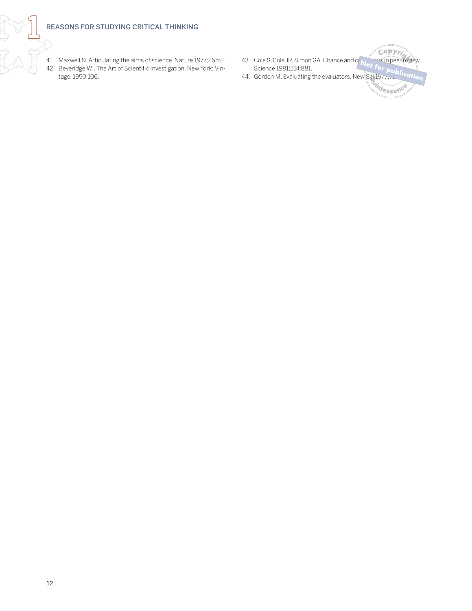### **1 RE <sup>1</sup> <sup>1</sup> <sup>1</sup> 1** REASONS FOR STUDYING CRITICAL THINKING

**1**

**1**

 **<sup>1</sup> 1**

 **1 1**

- 41. Maxwell N. Articulating the aims of science. Nature 1977;265:2.
- 42. Beveridge WI. The Art of Scientific Investigation. New York: Vintage, 1950:106.
- Copyr 43. Cole S, Cole JR, Simon GA. Chance and conservation peer review. Science 1981;214:881.
- 44. Gordon M. Evaluating the evaluators. New Sci 1977;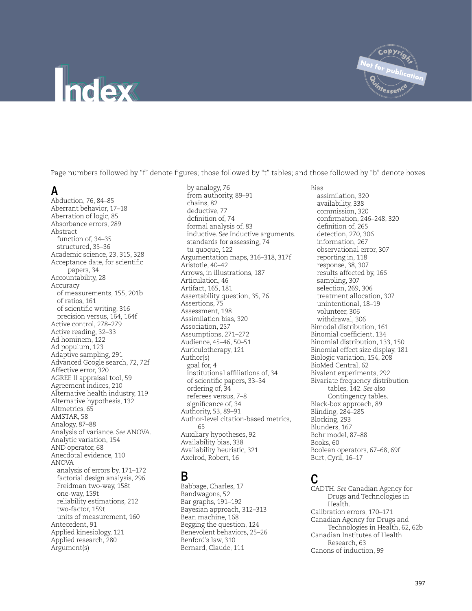## **Index**



Page numbers followed by "f" denote figures; those followed by "t" tables; and those followed by "b" denote boxes

### A

Abduction, 76, 84–85 Aberrant behavior, 17–18 Aberration of logic, 85 Absorbance errors, 289 Abstract function of, 34–35 structured, 35–36 Academic science, 23, 315, 328 Acceptance date, for scientific papers, 34 Accountability, 28 Accuracy of measurements, 155, 201b of ratios, 161 of scientific writing, 316 precision versus, 164, 164f Active control, 278–279 Active reading, 32–33 Ad hominem, 122 Ad populum, 123 Adaptive sampling, 291 Advanced Google search, 72, 72f Affective error, 320 AGREE II appraisal tool, 59 Agreement indices, 210 Alternative health industry, 119 Alternative hypothesis, 132 Altmetrics, 65 AMSTAR, 58 Analogy, 87–88 Analysis of variance. *See* ANOVA. Analytic variation, 154 AND operator, 68 Anecdotal evidence, 110 ANOVA analysis of errors by, 171–172 factorial design analysis, 296 Freidman two-way, 158t one-way, 159t reliability estimations, 212 two-factor, 159t units of measurement, 160 Antecedent, 91 Applied kinesiology, 121 Applied research, 280 Argument(s)

by analogy, 76 from authority, 89–91 chains, 82 deductive, 77 definition of, 74 formal analysis of, 83 inductive. *See* Inductive arguments. standards for assessing, 74 tu quoque, 122 Argumentation maps, 316–318, 317f Aristotle, 40–42 Arrows, in illustrations, 187 Articulation, 46 Artifact, 165, 181 Assertability question, 35, 76 Assertions, 75 Assessment, 198 Assimilation bias, 320 Association, 257 Assumptions, 271–272 Audience, 45–46, 50–51 Auriculotherapy, 121 Author(s) goal for, 4 institutional affiliations of, 34 of scientific papers, 33–34 ordering of, 34 referees versus, 7–8 significance of, 34 Authority, 53, 89–91 Author-level citation-based metrics, 65 Auxiliary hypotheses, 92 Availability bias, 338 Availability heuristic, 321 Axelrod, Robert, 16

### B

Babbage, Charles, 17 Bandwagons, 52 Bar graphs, 191–192 Bayesian approach, 312–313 Bean machine, 168 Begging the question, 124 Benevolent behaviors, 25–26 Benford's law, 310 Bernard, Claude, 111

Bias assimilation, 320 availability, 338 commission, 320 confirmation, 246–248, 320 definition of, 265 detection, 270, 306 information, 267 observational error, 307 reporting in, 118 response, 38, 307 results affected by, 166 sampling, 307 selection, 269, 306 treatment allocation, 307 unintentional, 18–19 volunteer, 306 withdrawal, 306 Bimodal distribution, 161 Binomial coefficient, 134 Binomial distribution, 133, 150 Binomial effect size display, 181 Biologic variation, 154, 208 BioMed Central, 62 Bivalent experiments, 292 Bivariate frequency distribution tables, 142. *See also* Contingency tables. Black-box approach, 89 Blinding, 284–285 Blocking, 293 Blunders, 167 Bohr model, 87–88 Books, 60 Boolean operators, 67–68, 69f Burt, Cyril, 16–17

### C

CADTH. *See* Canadian Agency for Drugs and Technologies in Health. Calibration errors, 170–171 Canadian Agency for Drugs and Technologies in Health, 62, 62b Canadian Institutes of Health Research, 63 Canons of induction, 99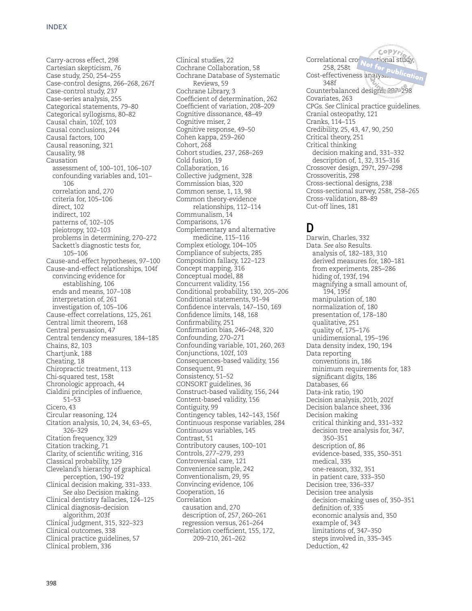Carry-across effect, 298 Cartesian skepticism, 76 Case study, 250, 254–255 Case-control designs, 266–268, 267f Case-control study, 237 Case-series analysis, 255 Categorical statements, 79–80 Categorical syllogisms, 80–82 Causal chain, 102f, 103 Causal conclusions, 244 Causal factors, 100 Causal reasoning, 321 Causality, 98 Causation assessment of, 100–101, 106–107 confounding variables and, 101– 106 correlation and, 270 criteria for, 105–106 direct, 102 indirect, 102 patterns of, 102–105 pleiotropy, 102–103 problems in determining, 270–272 Sackett's diagnostic tests for, 105–106 Cause-and-effect hypotheses, 97–100 Cause-and-effect relationships, 104f convincing evidence for establishing, 106 ends and means, 107–108 interpretation of, 261 investigation of, 105–106 Cause-effect correlations, 125, 261 Central limit theorem, 168 Central persuasion, 47 Central tendency measures, 184–185 Chains, 82, 103 Chartjunk, 188 Cheating, 18 Chiropractic treatment, 113 Chi-squared test, 158t Chronologic approach, 44 Cialdini principles of influence, 51–53 Cicero, 43 Circular reasoning, 124 Citation analysis, 10, 24, 34, 63–65, 326–329 Citation frequency, 329 Citation tracking, 71 Clarity, of scientific writing, 316 Classical probability, 129 Cleveland's hierarchy of graphical perception, 190–192 Clinical decision making, 331–333. *See also* Decision making. Clinical dentistry fallacies, 124–125 Clinical diagnosis–decision algorithm, 203f Clinical judgment, 315, 322–323 Clinical outcomes, 338 Clinical practice guidelines, 57 Clinical problem, 336

Clinical studies, 22 Cochrane Collaboration, 58 Cochrane Database of Systematic Reviews, 59 Cochrane Library, 3 Coefficient of determination, 262 Coefficient of variation, 208–209 Cognitive dissonance, 48–49 Cognitive miser, 2 Cognitive response, 49–50 Cohen kappa, 259–260 Cohort, 268 Cohort studies, 237, 268–269 Cold fusion, 19 Collaboration, 16 Collective judgment, 328 Commission bias, 320 Common sense, 1, 13, 98 Common theory-evidence relationships, 112–114 Communalism, 14 Comparisons, 176 Complementary and alternative medicine, 115–116 Complex etiology, 104–105 Compliance of subjects, 285 Composition fallacy, 122–123 Concept mapping, 316 Conceptual model, 88 Concurrent validity, 156 Conditional probability, 130, 205–206 Conditional statements, 91–94 Confidence intervals, 147–150, 169 Confidence limits, 148, 168 Confirmability, 251 Confirmation bias, 246–248, 320 Confounding, 270–271 Confounding variable, 101, 260, 263 Conjunctions, 102f, 103 Consequences-based validity, 156 Consequent, 91 Consistency, 51–52 CONSORT guidelines, 36 Construct-based validity, 156, 244 Content-based validity, 156 Contiguity, 99 Contingency tables, 142–143, 156f Continuous response variables, 284 Continuous variables, 145 Contrast, 51 Contributory causes, 100–101 Controls, 277–279, 293 Controversial care, 121 Convenience sample, 242 Conventionalism, 29, 95 Convincing evidence, 106 Cooperation, 16 Correlation causation and, 270 description of, 257, 260–261 regression versus, 261–264 Correlation coefficient, 155, 172, 209–210, 261–262

**COPYE** Correlational cross-sectional study, 258, 258t Cost-effectiveness analysis 348f Counterbalanced designs, 297–298 Covariates, 263 CPGs. *See* Clinical practice guidelines. Cranial osteopathy, 121 Cranks, 114–115 Credibility, 25, 43, 47, 90, 250 Critical theory, 251 Critical thinking decision making and, 331–332 description of, 1, 32, 315–316 Crossover design, 297t, 297–298 Crossoveritis, 298 Cross-sectional designs, 238 Cross-sectional survey, 258t, 258–265 Cross-validation, 88–89 Cut-off lines, 181

### D

Darwin, Charles, 332 Data. *See also* Results. analysis of, 182–183, 310 derived measures for, 180–181 from experiments, 285–286 hiding of, 193f, 194 magnifying a small amount of, 194, 195f manipulation of, 180 normalization of, 180 presentation of, 178–180 qualitative, 251 quality of, 175–176 unidimensional, 195–196 Data density index, 190, 194 Data reporting conventions in, 186 minimum requirements for, 183 significant digits, 186 Databases, 66 Data-ink ratio, 190 Decision analysis, 201b, 202f Decision balance sheet, 336 Decision making critical thinking and, 331–332 decision tree analysis for, 347, 350–351 description of, 86 evidence-based, 335, 350–351 medical, 335 one-reason, 332, 351 in patient care, 333–350 Decision tree, 336–337 Decision tree analysis decision-making uses of, 350–351 definition of, 335 economic analysis and, 350 example of, 343 limitations of, 347–350 steps involved in, 335–345 Deduction, 42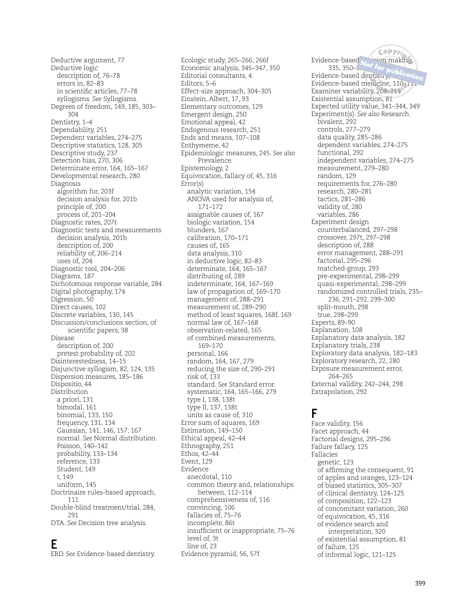Deductive argument, 77 Deductive logic description of, 76–78 errors in, 82–83 in scientific articles, 77–78 syllogisms. *See* Syllogisms. Degrees of freedom, 149, 185, 303– 304 Dentistry, 1–4 Dependability, 251 Dependent variables, 274–275 Descriptive statistics, 128, 305 Descriptive study, 237 Detection bias, 270, 306 Determinate error, 164, 165–167 Developmental research, 280 Diagnosis algorithm for, 203f decision analysis for, 201b principle of, 200 process of, 201–204 Diagnostic rates, 207t Diagnostic tests and measurements decision analysis, 201b description of, 200 reliability of, 206–214 uses of, 204 Diagnostic tool, 204–206 Diagrams, 187 Dichotomous response variable, 284 Digital photography, 174 Digression, 50 Direct causes, 102 Discrete variables, 130, 145 Discussion/conclusions section, of scientific papers, 38 Disease description of, 200 pretest probability of, 202 Disinterestedness, 14–15 Disjunctive syllogism, 82, 124, 135 Dispersion measures, 185–186 Dispositio, 44 Distribution a priori, 131 bimodal, 161 binomial, 133, 150 frequency, 131, 134 Gaussian, 141, 146, 157, 167 normal. *See* Normal distribution. Poisson, 140–142 probability, 133–134 reference, 133 Student, 149 *t*, 149 uniform, 145 Doctrinaire rules-based approach, 111 Double-blind treatment/trial, 284, 291 DTA. *See* Decision tree analysis.

### E

EBD. *See* Evidence-based dentistry.

Ecologic study, 265–266, 266f Economic analysis, 345–347, 350 Editorial consultants, 4 Editors, 5–6 Effect-size approach, 304–305 Einstein, Albert, 17, 93 Elementary outcomes, 129 Emergent design, 250 Emotional appeal, 42 Endogenous research, 251 Ends and means, 107–108 Enthymeme, 42 Epidemiologic measures, 245. *See also* Prevalence. Epistemology, 2 Equivocation, fallacy of, 45, 316 Error(s) analytic variation, 154 ANOVA used for analysis of, 171–172 assignable causes of, 167 biologic variation, 154 blunders, 167 calibration, 170–171 causes of, 165 data analysis, 310 in deductive logic, 82–83 determinate, 164, 165–167 distributing of, 289 indeterminate, 164, 167–169 law of propagation of, 169–170 management of, 288–291 measurement of, 289–290 method of least squares, 168f, 169 normal law of, 167–168 observation-related, 165 of combined measurements, 169–170 personal, 166 random, 164, 167, 279 reducing the size of, 290–291 risk of, 133 standard. *See* Standard error. systematic, 164, 165–166, 279 type I, 138, 138t type II, 137, 138t units as cause of, 310 Error sum of squares, 169 Estimation, 149–150 Ethical appeal, 42–44 Ethnography, 251 Ethos, 42–44 Event, 129 Evidence anecdotal, 110 common theory and, relationships between, 112–114 comprehensiveness of, 116 convincing, 106 fallacies of, 75–76 incomplete, 86t insufficient or inappropriate, 75–76 level of, 3t line of, 23 Evidence pyramid, 56, 57f

 $\mathsf{CoPy}_{\boldsymbol{r}}$ Evidence-based Not sam making, 335, 350–5. Evidence-based dentistry, Evidence-based medicine, 110–111 Examiner variability, 209–214 Existential assumption, 81 Expected utility value, 341–344, 349 Experiment(s). *See also* Research. bivalent, 292 controls, 277–279 data quality, 285–286 dependent variables, 274–275 functional, 292 independent variables, 274–275 measurement, 279–280 random, 129 requirements for, 276–280 research, 280–281 tactics, 281–286 validity of, 280 variables, 286 Experiment design counterbalanced, 297–298 crossover, 297t, 297–298 description of, 288 error management, 288–291 factorial, 295–296 matched-group, 293 pre-experimental, 298–299 quasi-experimental, 298–299 randomized controlled trials, 235– 236, 291–292, 299–300 split-mouth, 298 true, 298–299 Experts, 89–90 Explanation, 108 Explanatory data analysis, 182 Explanatory trials, 238 Exploratory data analysis, 182–183 Exploratory research, 22, 280 Exposure measurement error, 264–265 External validity, 242–244, 298 Extrapolation, 292

### F

Face validity, 156 Facet approach, 44 Factorial designs, 295–296 Failure fallacy, 125 Fallacies genetic, 123 of affirming the consequent, 91 of apples and oranges, 123–124 of biased statistics, 305–307 of clinical dentistry, 124–125 of composition, 122–123 of concomitant variation, 260 of equivocation, 45, 316 of evidence search and interpretation, 320 of existential assumption, 81 of failure, 125 of informal logic, 121–125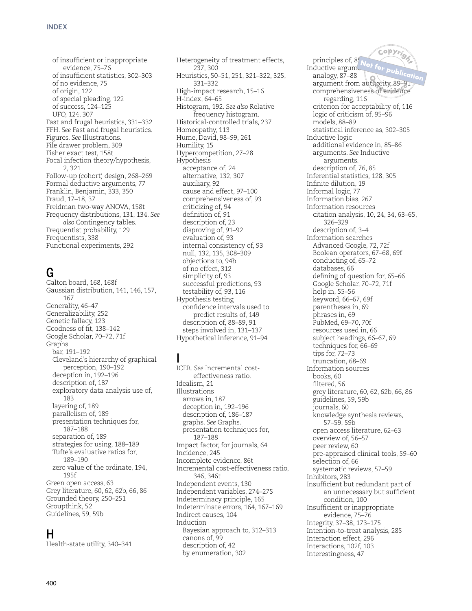of insufficient or inappropriate evidence, 75–76 of insufficient statistics, 302–303 of no evidence, 75 of origin, 122 of special pleading, 122 of success, 124–125 UFO, 124, 307 Fast and frugal heuristics, 331–332 FFH. *See* Fast and frugal heuristics. Figures. *See* Illustrations. File drawer problem, 309 Fisher exact test, 158t Focal infection theory/hypothesis, 2, 321 Follow-up (cohort) design, 268–269 Formal deductive arguments, 77 Franklin, Benjamin, 333, 350 Fraud, 17–18, 37 Freidman two-way ANOVA, 158t Frequency distributions, 131, 134. *See also* Contingency tables. Frequentist probability, 129 Frequentists, 338 Functional experiments, 292

### G

Galton board, 168, 168f Gaussian distribution, 141, 146, 157, 167 Generality, 46–47 Generalizability, 252 Genetic fallacy, 123 Goodness of fit, 138–142 Google Scholar, 70–72, 71f Graphs bar, 191–192 Cleveland's hierarchy of graphical perception, 190–192 deception in, 192–196 description of, 187 exploratory data analysis use of, 183 layering of, 189 parallelism of, 189 presentation techniques for, 187–188 separation of, 189 strategies for using, 188–189 Tufte's evaluative ratios for, 189–190 zero value of the ordinate, 194, 195f Green open access, 63 Grey literature, 60, 62, 62b, 66, 86 Grounded theory, 250–251 Groupthink, 52 Guidelines, 59, 59b

### H

Health-state utility, 340–341

Heterogeneity of treatment effects, 237, 300 Heuristics, 50–51, 251, 321–322, 325, 331–332 High-impact research, 15–16 H-index, 64–65 Histogram, 192. *See also* Relative frequency histogram. Historical-controlled trials, 237 Homeopathy, 113 Hume, David, 98–99, 261 Humility, 15 Hypercompetition, 27–28 Hypothesis acceptance of, 24 alternative, 132, 307 auxiliary, 92 cause and effect, 97–100 comprehensiveness of, 93 criticizing of, 94 definition of, 91 description of, 23 disproving of, 91–92 evaluation of, 93 internal consistency of, 93 null, 132, 135, 308–309 objections to, 94b of no effect, 312 simplicity of, 93 successful predictions, 93 testability of, 93, 116 Hypothesis testing confidence intervals used to predict results of, 149 description of, 88–89, 91 steps involved in, 131–137 Hypothetical inference, 91–94

### I

ICER. *See* Incremental costeffectiveness ratio. Idealism, 21 Illustrations arrows in, 187 deception in, 192–196 description of, 186–187 graphs. *See* Graphs. presentation techniques for, 187–188 Impact factor, for journals, 64 Incidence, 245 Incomplete evidence, 86t Incremental cost-effectiveness ratio, 346, 346t Independent events, 130 Independent variables, 274–275 Indeterminacy principle, 165 Indeterminate errors, 164, 167–169 Indirect causes, 104 Induction Bayesian approach to, 312–313 canons of, 99 description of, 42 by enumeration, 302

Ͼοργ principles of,  $8^1$ Inductive arguments analogy, 87–88 argument from authority, 89–91 comprehensiveness of evidence regarding, 116 criterion for acceptability of, 116 logic of criticism of, 95–96 models, 88–89 statistical inference as, 302–305 Inductive logic additional evidence in, 85–86 arguments. *See* Inductive arguments. description of, 76, 85 Inferential statistics, 128, 305 Infinite dilution, 19 Informal logic, 77 Information bias, 267 Information resources citation analysis, 10, 24, 34, 63–65, 326–329 description of, 3–4 Information searches Advanced Google, 72, 72f Boolean operators, 67–68, 69f conducting of, 65–72 databases, 66 defining of question for, 65–66 Google Scholar, 70–72, 71f help in, 55–56 keyword, 66–67, 69f parentheses in, 69 phrases in, 69 PubMed, 69–70, 70f resources used in, 66 subject headings, 66–67, 69 techniques for, 66–69 tips for, 72–73 truncation, 68–69 Information sources books, 60 filtered, 56 grey literature, 60, 62, 62b, 66, 86 guidelines, 59, 59b journals, 60 knowledge synthesis reviews, 57–59, 59b open access literature, 62–63 overview of, 56–57 peer review, 60 pre-appraised clinical tools, 59–60 selection of, 66 systematic reviews, 57–59 Inhibitors, 283 Insufficient but redundant part of an unnecessary but sufficient condition, 100 Insufficient or inappropriate evidence, 75–76 Integrity, 37–38, 173–175 Intention-to-treat analysis, 285 Interaction effect, 296 Interactions, 102f, 103 Interestingness, 47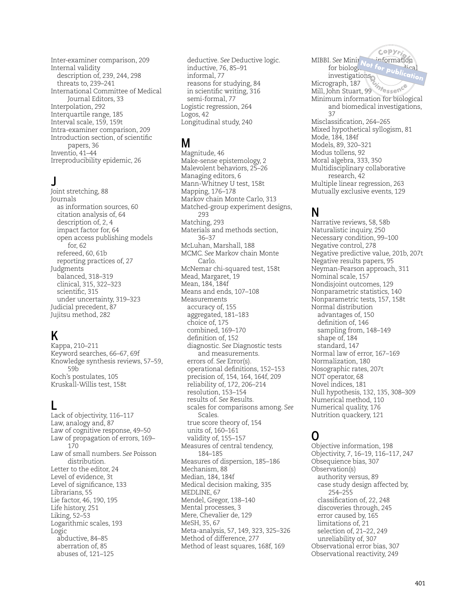Inter-examiner comparison, 209 Internal validity description of, 239, 244, 298 threats to, 239–241 International Committee of Medical Journal Editors, 33 Interpolation, 292 Interquartile range, 185 Interval scale, 159, 159t Intra-examiner comparison, 209 Introduction section, of scientific papers, 36 Inventio, 41–44 Irreproducibility epidemic, 26

### J

Joint stretching, 88 Journals as information sources, 60 citation analysis of, 64 description of, 2, 4 impact factor for, 64 open access publishing models for, 62 refereed, 60, 61b reporting practices of, 27 Judgments balanced, 318–319 clinical, 315, 322–323 scientific, 315 under uncertainty, 319–323 Judicial precedent, 87 Jujitsu method, 282

### K

Kappa, 210–211 Keyword searches, 66–67, 69f Knowledge synthesis reviews, 57–59, 59b Koch's postulates, 105 Kruskall-Willis test, 158t

### L

Lack of objectivity, 116–117 Law, analogy and, 87 Law of cognitive response, 49–50 Law of propagation of errors, 169– 170 Law of small numbers. *See* Poisson distribution. Letter to the editor, 24 Level of evidence, 3t Level of significance, 133 Librarians, 55 Lie factor, 46, 190, 195 Life history, 251 Liking, 52–53 Logarithmic scales, 193 Logic abductive, 84–85 aberration of, 85 abuses of, 121–125

deductive. *See* Deductive logic. inductive, 76, 85–91 informal, 77 reasons for studying, 84 in scientific writing, 316 semi-formal, 77 Logistic regression, 264 Logos, 42 Longitudinal study, 240

### M

Magnitude, 46 Make-sense epistemology, 2 Malevolent behaviors, 25–26 Managing editors, 6 Mann-Whitney U test, 158t Mapping, 176–178 Markov chain Monte Carlo, 313 Matched-group experiment designs, 293 Matching, 293 Materials and methods section, 36–37 McLuhan, Marshall, 188 MCMC. *See* Markov chain Monte Carlo. McNemar chi-squared test, 158t Mead, Margaret, 19 Mean, 184, 184f Means and ends, 107–108 Measurements accuracy of, 155 aggregated, 181–183 choice of, 175 combined, 169–170 definition of, 152 diagnostic. *See* Diagnostic tests and measurements. errors of. *See* Error(s). operational definitions, 152–153 precision of, 154, 164, 164f, 209 reliability of, 172, 206–214 resolution, 153–154 results of. *See* Results. scales for comparisons among. *See* Scales. true score theory of, 154 units of, 160–161 validity of, 155–157 Measures of central tendency, 184–185 Measures of dispersion, 185–186 Mechanism, 88 Median, 184, 184f Medical decision making, 335 MEDLINE, 67 Mendel, Gregor, 138–140 Mental processes, 3 Mere, Chevalier de, 129 MeSH, 35, 67 Meta-analysis, 57, 149, 323, 325–326 Method of difference, 277 Method of least squares, 168f, 169

ϹϙϷϒϧ MIBBI. See Minimum information for biology for  $\mathbf{b}_{\text{total}}$ investigations. Micrograph, 187 htessenc Mill, John Stuart, 99 Minimum information for biological and biomedical investigations, 37 Misclassification, 264–265 Mixed hypothetical syllogism, 81 Mode, 184, 184f Models, 89, 320–321 Modus tollens, 92 Moral algebra, 333, 350 Multidisciplinary collaborative research, 42 Multiple linear regression, 263 Mutually exclusive events, 129

### N

Narrative reviews, 58, 58b Naturalistic inquiry, 250 Necessary condition, 99–100 Negative control, 278 Negative predictive value, 201b, 207t Negative results papers, 95 Neyman-Pearson approach, 311 Nominal scale, 157 Nondisjoint outcomes, 129 Nonparametric statistics, 140 Nonparametric tests, 157, 158t Normal distribution advantages of, 150 definition of, 146 sampling from, 148–149 shape of, 184 standard, 147 Normal law of error, 167–169 Normalization, 180 Nosographic rates, 207t NOT operator, 68 Novel indices, 181 Null hypothesis, 132, 135, 308–309 Numerical method, 110 Numerical quality, 176 Nutrition quackery, 121

### O

Objective information, 198 Objectivity, 7, 16–19, 116–117, 247 Obsequience bias, 307 Observation(s) authority versus, 89 case study design affected by, 254–255 classification of, 22, 248 discoveries through, 245 error caused by, 165 limitations of, 21 selection of, 21–22, 249 unreliability of, 307 Observational error bias, 307 Observational reactivity, 249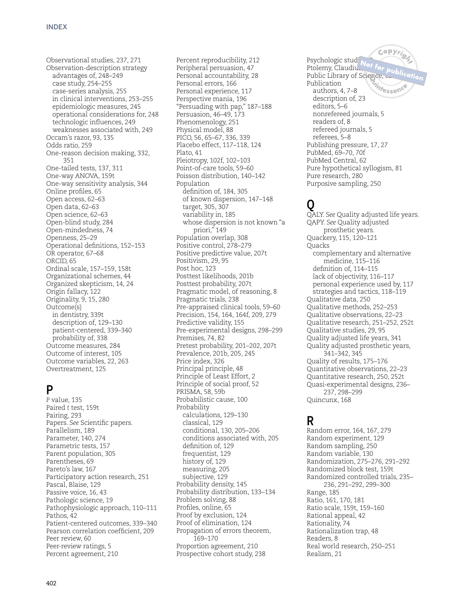Observational studies, 237, 271 Observation-description strategy advantages of, 248–249 case study, 254–255 case-series analysis, 255 in clinical interventions, 253–255 epidemiologic measures, 245 operational considerations for, 248 technologic influences, 249 weaknesses associated with, 249 Occam's razor, 93, 135 Odds ratio, 259 One-reason decision making, 332, 351 One-tailed tests, 137, 311 One-way ANOVA, 159t One-way sensitivity analysis, 344 Online profiles, 65 Open access, 62–63 Open data, 62–63 Open science, 62–63 Open-blind study, 284 Open-mindedness, 74 Openness, 25–29 Operational definitions, 152–153 OR operator, 67–68 ORCID, 65 Ordinal scale, 157–159, 158t Organizational schemes, 44 Organized skepticism, 14, 24 Origin fallacy, 122 Originality, 9, 15, 280 Outcome(s) in dentistry, 339t description of, 129–130 patient-centered, 339–340 probability of, 338 Outcome measures, 284 Outcome of interest, 105 Outcome variables, 22, 263 Overtreatment, 125

### P

*P* value, 135 Paired *t* test, 159t Pairing, 293 Papers. *See* Scientific papers. Parallelism, 189 Parameter, 140, 274 Parametric tests, 157 Parent population, 305 Parentheses, 69 Pareto's law, 167 Participatory action research, 251 Pascal, Blaise, 129 Passive voice, 16, 43 Pathologic science, 19 Pathophysiologic approach, 110–111 Pathos, 42 Patient-centered outcomes, 339–340 Pearson correlation coefficient, 209 Peer review, 60 Peer-review ratings, 5 Percent agreement, 210

Percent reproducibility, 212 Peripheral persuasion, 47 Personal accountability, 28 Personal errors, 166 Personal experience, 117 Perspective mania, 196 "Persuading with pap," 187–188 Persuasion, 46–49, 173 Phenomenology, 251 Physical model, 88 PICO, 56, 65–67, 336, 339 Placebo effect, 117–118, 124 Plato, 41 Pleiotropy, 102f, 102–103 Point-of-care tools, 59–60 Poisson distribution, 140–142 Population definition of, 184, 305 of known dispersion, 147–148 target, 305, 307 variability in, 185 whose dispersion is not known "a priori," 149 Population overlap, 308 Positive control, 278–279 Positive predictive value, 207t Positivism, 29, 95 Post hoc, 123 Posttest likelihoods, 201b Posttest probability, 207t Pragmatic model, of reasoning, 8 Pragmatic trials, 238 Pre-appraised clinical tools, 59–60 Precision, 154, 164, 164f, 209, 279 Predictive validity, 155 Pre-experimental designs, 298–299 Premises, 74, 82 Pretest probability, 201–202, 207t Prevalence, 201b, 205, 245 Price index, 326 Principal principle, 48 Principle of Least Effort, 2 Principle of social proof, 52 PRISMA, 58, 59b Probabilistic cause, 100 Probability calculations, 129–130 classical, 129 conditional, 130, 205–206 conditions associated with, 205 definition of, 129 frequentist, 129 history of, 129 measuring, 205 subjective, 129 Probability density, 145 Probability distribution, 133–134 Problem solving, 88 Profiles, online, 65 Proof by exclusion, 124 Proof of elimination, 124 Propagation of errors theorem, 169–170 Proportion agreement, 210 Prospective cohort study, 238

**Copy** Psychologic studi  $P$ tolemy, Claudius,  $N$ Public Library of Science,  $\circ$ Publication <sup>7</sup>esser authors, 4, 7–8 description of, 23 editors, 5–6 nonrefereed journals, 5 readers of, 8 refereed journals, 5 referees, 5–8 Publishing pressure, 17, 27 PubMed, 69–70, 70f PubMed Central, 62 Pure hypothetical syllogism, 81 Pure research, 280 Purposive sampling, 250

### Q

QALY. *See* Quality adjusted life years. QAPY. *See* Quality adjusted prosthetic years. Quackery, 115, 120–121 Quacks complementary and alternative medicine, 115–116 definition of, 114–115 lack of objectivity, 116–117 personal experience used by, 117 strategies and tactics, 118–119 Qualitative data, 250 Qualitative methods, 252–253 Qualitative observations, 22–23 Qualitative research, 251–252, 252t Qualitative studies, 29, 95 Quality adjusted life years, 341 Quality adjusted prosthetic years, 341–342, 345 Quality of results, 175–176 Quantitative observations, 22–23 Quantitative research, 250, 252t Quasi-experimental designs, 236– 237, 298–299 Quincunx, 168

### R

Random error, 164, 167, 279 Random experiment, 129 Random sampling, 250 Random variable, 130 Randomization, 275–276, 291–292 Randomized block test, 159t Randomized controlled trials, 235– 236, 291–292, 299–300 Range, 185 Ratio, 161, 170, 181 Ratio scale, 159t, 159–160 Rational appeal, 42 Rationality, 74 Rationalization trap, 48 Readers, 8 Real world research, 250–251 Realism, 21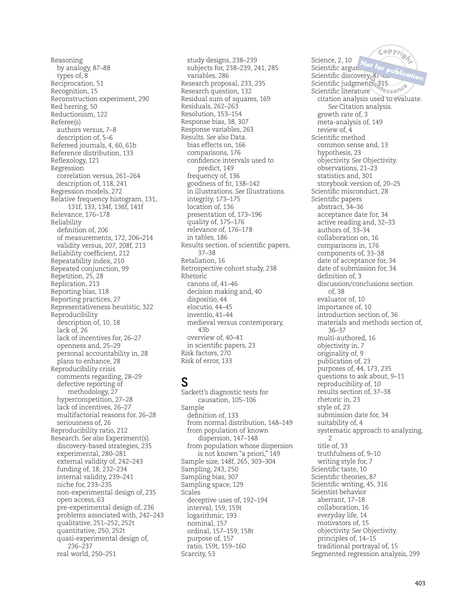Reasoning by analogy, 87–88 types of, 8 Reciprocation, 51 Recognition, 15 Reconstruction experiment, 290 Red herring, 50 Reductionism, 122 Referee(s) authors versus, 7–8 description of, 5–6 Refereed journals, 4, 60, 61b Reference distribution, 133 Reflexology, 121 Regression correlation versus, 261–264 description of, 118, 241 Regression models, 272 Relative frequency histogram, 131, 131f, 133, 134f, 136f, 141f Relevance, 176–178 Reliability definition of, 206 of measurements, 172, 206–214 validity versus, 207, 208f, 213 Reliability coefficient, 212 Repeatability index, 210 Repeated conjunction, 99 Repetition, 25, 28 Replication, 213 Reporting bias, 118 Reporting practices, 27 Representativeness heuristic, 322 Reproducibility description of, 10, 18 lack of, 26 lack of incentives for, 26–27 openness and, 25–29 personal accountability in, 28 plans to enhance, 28 Reproducibility crisis comments regarding, 28–29 defective reporting of methodology, 27 hypercompetition, 27–28 lack of incentives, 26–27 multifactorial reasons for, 26–28 seriousness of, 26 Reproducibility ratio, 212 Research. *See also* Experiment(s). discovery-based strategies, 235 experimental, 280–281 external validity of, 242–243 funding of, 18, 232–234 internal validity, 239–241 niche for, 233–235 non-experimental design of, 235 open access, 63 pre-experimental design of, 236 problems associated with, 242–243 qualitative, 251–252, 252t quantitative, 250, 252t quasi-experimental design of, 236–237 real world, 250–251

study designs, 238–239 subjects for, 238–239, 241, 285 variables, 286 Research proposal, 233, 235 Research question, 132 Residual sum of squares, 169 Residuals, 262–263 Resolution, 153–154 Response bias, 38, 307 Response variables, 263 Results. *See also* Data. bias effects on, 166 comparisons, 176 confidence intervals used to predict, 149 frequency of, 136 goodness of fit, 138–142 in illustrations. *See* Illustrations. integrity, 173–175 location of, 136 presentation of, 173–196 quality of, 175–176 relevance of, 176–178 in tables, 186 Results section, of scientific papers, 37–38 Retaliation, 16 Retrospective cohort study, 238 Rhetoric canons of, 41–46 decision making and, 40 dispositio, 44 elocutio, 44–45 inventio, 41–44 medieval versus contemporary, 43b overview of, 40–41 in scientific papers, 23 Risk factors, 270 Risk of error, 133

### S

Sackett's diagnostic tests for causation, 105–106 Sample definition of, 133 from normal distribution, 148–149 from population of known dispersion, 147–148 from population whose dispersion is not known "a priori," 149 Sample size, 148f, 265, 303–304 Sampling, 243, 250 Sampling bias, 307 Sampling space, 129 Scales deceptive uses of, 192–194 interval, 159, 159t logarithmic, 193 nominal, 157 ordinal, 157–159, 158t purpose of, 157 ratio, 159t, 159–160 Scarcity, 53

**Copy** Science, 2, 10 Scientific arguments for Scientific discovery, 8x-00 Scientific judgments, 315<br>Scientific literature Scientific literature citation analysis used to evaluate. *See* Citation analysis. growth rate of, 3 meta-analysis of, 149 review of, 4 Scientific method common sense and, 13 hypothesis, 23 objectivity. *See* Objectivity. observations, 21–23 statistics and, 301 storybook version of, 20–25 Scientific misconduct, 28 Scientific papers abstract, 34–36 acceptance date for, 34 active reading and, 32–33 authors of, 33–34 collaboration on, 16 comparisons in, 176 components of, 33–38 date of acceptance for, 34 date of submission for, 34 definition of, 3 discussion/conclusions section of, 38 evaluator of, 10 importance of, 10 introduction section of, 36 materials and methods section of, 36–37 multi-authored, 16 objectivity in, 7 originality of, 9 publication of, 23 purposes of, 44, 173, 235 questions to ask about, 9–11 reproducibility of, 10 results section of, 37–38 rhetoric in, 23 style of, 23 submission date for, 34 suitability of, 4 systematic approach to analyzing,  $\mathfrak{D}$ title of, 33 truthfulness of, 9–10 writing style for, 7 Scientific taste, 10 Scientific theories, 87 Scientific writing, 45, 316 Scientist behavior aberrant, 17–18 collaboration, 16 everyday life, 14 motivators of, 15 objectivity. *See* Objectivity. principles of, 14–15 traditional portrayal of, 15 Segmented regression analysis, 299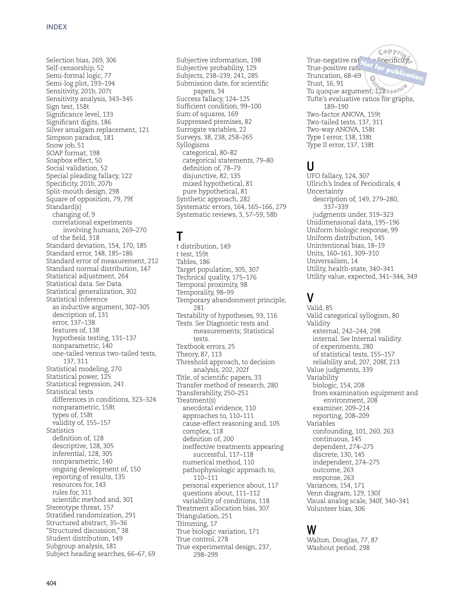Selection bias, 269, 306 Self-censorship, 52 Semi-formal logic, 77 Semi-log plot, 193–194 Sensitivity, 201b, 207t Sensitivity analysis, 343–345 Sign test, 158t Significance level, 133 Significant digits, 186 Silver amalgam replacement, 121 Simpson paradox, 181 Snow job, 51 SOAP format, 198 Soapbox effect, 50 Social validation, 52 Special pleading fallacy, 122 Specificity, 201b, 207b Split-mouth design, 298 Square of opposition, 79, 79f Standard(s) changing of, 9 correlational experiments involving humans, 269–270 of the field, 318 Standard deviation, 154, 170, 185 Standard error, 148, 185–186 Standard error of measurement, 212 Standard normal distribution, 147 Statistical adjustment, 264 Statistical data. *See* Data. Statistical generalization, 302 Statistical inference as inductive argument, 302–305 description of, 131 error, 137–138 features of, 138 hypothesis testing, 131–137 nonparametric, 140 one-tailed versus two-tailed tests, 137, 311 Statistical modeling, 270 Statistical power, 125 Statistical regression, 241 Statistical tests differences in conditions, 323–324 nonparametric, 158t types of, 158t validity of, 155–157 Statistics definition of, 128 descriptive, 128, 305 inferential, 128, 305 nonparametric, 140 ongoing development of, 150 reporting of results, 135 resources for, 143 rules for, 311 scientific method and, 301 Stereotype threat, 157 Stratified randomization, 291 Structured abstract, 35–36 "Structured discussion," 38 Student distribution, 149 Subgroup analysis, 181 Subject heading searches, 66–67, 69

Subjective information, 198 Subjective probability, 129 Subjects, 238–239, 241, 285 Submission date, for scientific papers, 34 Success fallacy, 124–125 Sufficient condition, 99–100 Sum of squares, 169 Suppressed premises, 82 Surrogate variables, 22 Surveys, 38, 238, 258–265 Syllogisms categorical, 80–82 categorical statements, 79–80 definition of, 78–79 disjunctive, 82, 135 mixed hypothetical, 81 pure hypothetical, 81 Synthetic approach, 282 Systematic errors, 164, 165–166, 279 Systematic reviews, 3, 57–59, 58b

### T

*t* distribution, 149 *t* test, 159t Tables, 186 Target population, 305, 307 Technical quality, 175–176 Temporal proximity, 98 Temporality, 98–99 Temporary abandonment principle, 281 Testability of hypotheses, 93, 116 Tests. *See* Diagnostic tests and measurements; Statistical tests. Textbook errors, 25 Theory, 87, 113 Threshold approach, to decision analysis, 202, 202f Title, of scientific papers, 33 Transfer method of research, 280 Transferability, 250–251 Treatment(s) anecdotal evidence, 110 approaches to, 110–111 cause-effect reasoning and, 105 complex, 118 definition of, 200 ineffective treatments appearing successful, 117–118 numerical method, 110 pathophysiologic approach to, 110–111 personal experience about, 117 questions about, 111–112 variability of conditions, 118 Treatment allocation bias, 307 Triangulation, 251 Trimming, 17 True biologic variation, 171 True control, 278 True experimental design, 237, 298–299

ϾϙϷϒϧ True-negative rate. **Specificity.** True-positive rature. Truncation, 68–69 Trust, 16, 91 Tu quoque argument, 122ssen Tufte's evaluative ratios for graphs, 189–190 Two-factor ANOVA, 159t Two-tailed tests, 137, 311 Two-way ANOVA, 158t Type I error, 138, 138t Type II error, 137, 138t

### U

UFO fallacy, 124, 307 Ullrich's Index of Periodicals, 4 Uncertainty description of, 149, 279–280, 337–339 judgments under, 319–323 Unidimensional data, 195–196 Uniform biologic response, 99 Uniform distribution, 145 Unintentional bias, 18–19 Units, 160–161, 309–310 Universalism, 14 Utility, health-state, 340–341 Utility value, expected, 341–344, 349

### V

Valid, 85 Valid categorical syllogism, 80 Validity external, 242–244, 298 internal. *See* Internal validity. of experiments, 280 of statistical tests, 155–157 reliability and, 207, 208f, 213 Value judgments, 339 Variability biologic, 154, 208 from examination equipment and environment, 208 examiner, 209–214 reporting, 208–209 Variables confounding, 101, 260, 263 continuous, 145 dependent, 274–275 discrete, 130, 145 independent, 274–275 outcome, 263 response, 263 Variances, 154, 171 Venn diagram, 129, 130f Visual analog scale, 340f, 340–341 Volunteer bias, 306

### W

Walton, Douglas, 77, 87 Washout period, 298